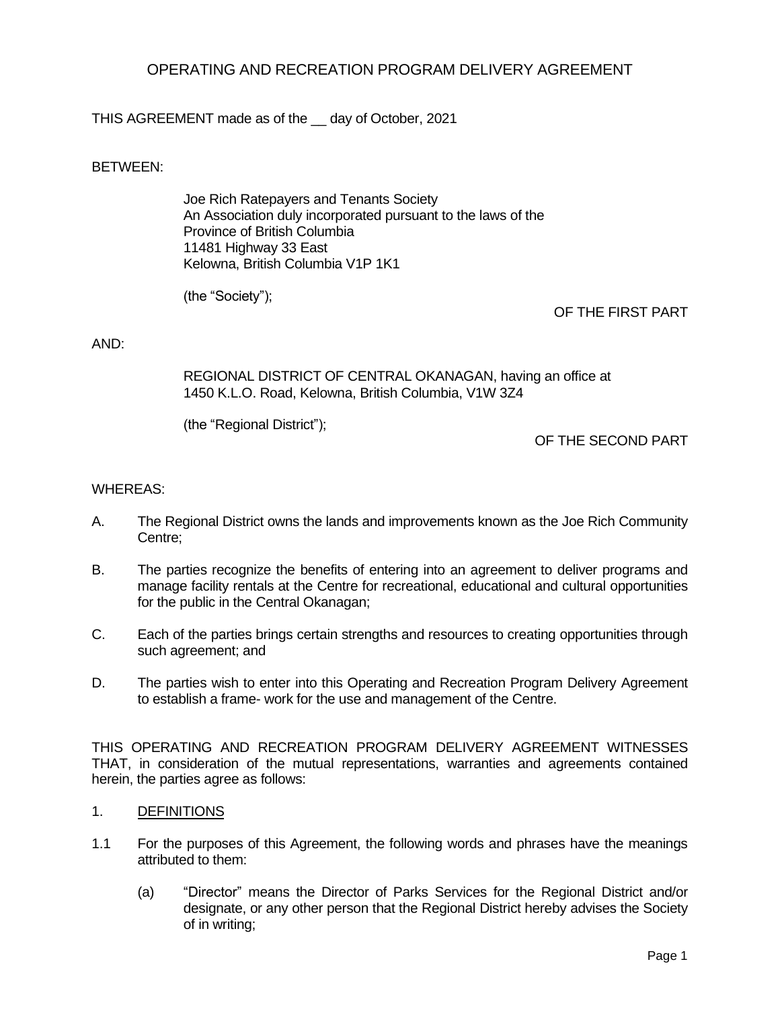# OPERATING AND RECREATION PROGRAM DELIVERY AGREEMENT

THIS AGREEMENT made as of the \_\_ day of October, 2021

# BETWEEN:

Joe Rich Ratepayers and Tenants Society An Association duly incorporated pursuant to the laws of the Province of British Columbia 11481 Highway 33 East Kelowna, British Columbia V1P 1K1

(the "Society");

OF THE FIRST PART

#### AND:

REGIONAL DISTRICT OF CENTRAL OKANAGAN, having an office at 1450 K.L.O. Road, Kelowna, British Columbia, V1W 3Z4

(the "Regional District");

OF THE SECOND PART

#### WHEREAS:

- A. The Regional District owns the lands and improvements known as the Joe Rich Community Centre;
- B. The parties recognize the benefits of entering into an agreement to deliver programs and manage facility rentals at the Centre for recreational, educational and cultural opportunities for the public in the Central Okanagan;
- C. Each of the parties brings certain strengths and resources to creating opportunities through such agreement; and
- D. The parties wish to enter into this Operating and Recreation Program Delivery Agreement to establish a frame- work for the use and management of the Centre.

THIS OPERATING AND RECREATION PROGRAM DELIVERY AGREEMENT WITNESSES THAT, in consideration of the mutual representations, warranties and agreements contained herein, the parties agree as follows:

- 1. DEFINITIONS
- 1.1 For the purposes of this Agreement, the following words and phrases have the meanings attributed to them:
	- (a) "Director" means the Director of Parks Services for the Regional District and/or designate, or any other person that the Regional District hereby advises the Society of in writing;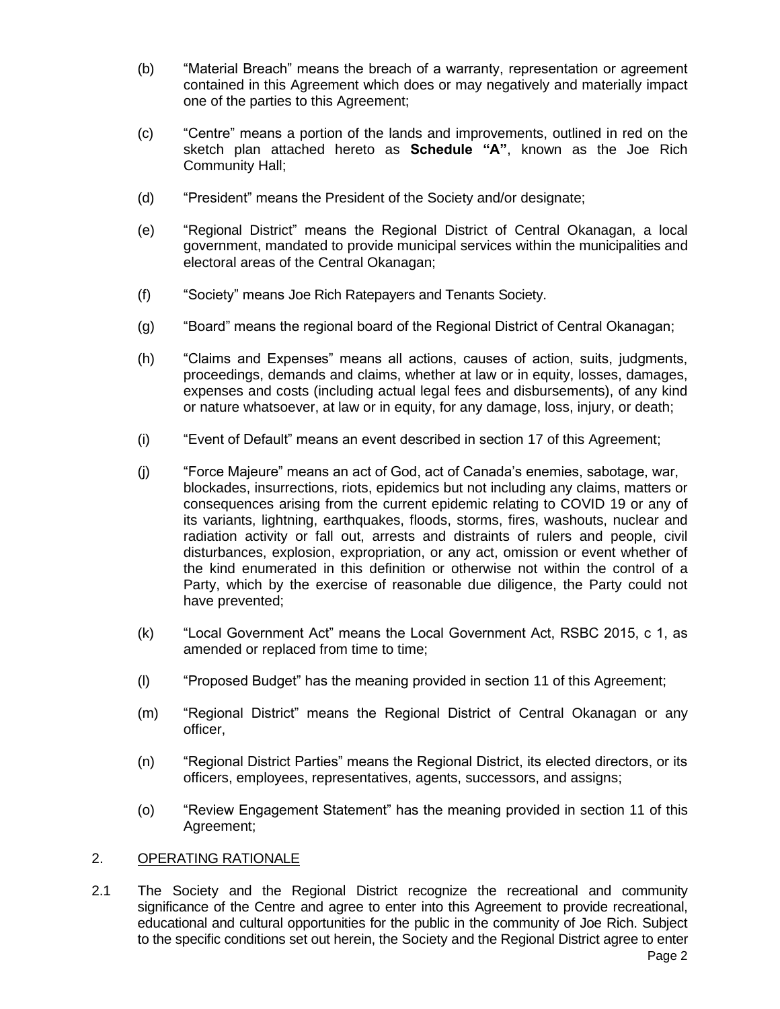- (b) "Material Breach" means the breach of a warranty, representation or agreement contained in this Agreement which does or may negatively and materially impact one of the parties to this Agreement;
- (c) "Centre" means a portion of the lands and improvements, outlined in red on the sketch plan attached hereto as **Schedule "A"**, known as the Joe Rich Community Hall;
- (d) "President" means the President of the Society and/or designate;
- (e) "Regional District" means the Regional District of Central Okanagan, a local government, mandated to provide municipal services within the municipalities and electoral areas of the Central Okanagan;
- (f) "Society" means Joe Rich Ratepayers and Tenants Society.
- (g) "Board" means the regional board of the Regional District of Central Okanagan;
- (h) "Claims and Expenses" means all actions, causes of action, suits, judgments, proceedings, demands and claims, whether at law or in equity, losses, damages, expenses and costs (including actual legal fees and disbursements), of any kind or nature whatsoever, at law or in equity, for any damage, loss, injury, or death;
- (i) "Event of Default" means an event described in section 17 of this Agreement;
- (j) "Force Majeure" means an act of God, act of Canada's enemies, sabotage, war, blockades, insurrections, riots, epidemics but not including any claims, matters or consequences arising from the current epidemic relating to COVID 19 or any of its variants, lightning, earthquakes, floods, storms, fires, washouts, nuclear and radiation activity or fall out, arrests and distraints of rulers and people, civil disturbances, explosion, expropriation, or any act, omission or event whether of the kind enumerated in this definition or otherwise not within the control of a Party, which by the exercise of reasonable due diligence, the Party could not have prevented;
- (k) "Local Government Act" means the Local Government Act, RSBC 2015, c 1, as amended or replaced from time to time;
- (l) "Proposed Budget" has the meaning provided in section 11 of this Agreement;
- (m) "Regional District" means the Regional District of Central Okanagan or any officer,
- (n) "Regional District Parties" means the Regional District, its elected directors, or its officers, employees, representatives, agents, successors, and assigns;
- (o) "Review Engagement Statement" has the meaning provided in section 11 of this Agreement;

#### 2. OPERATING RATIONALE

2.1 The Society and the Regional District recognize the recreational and community significance of the Centre and agree to enter into this Agreement to provide recreational, educational and cultural opportunities for the public in the community of Joe Rich. Subject to the specific conditions set out herein, the Society and the Regional District agree to enter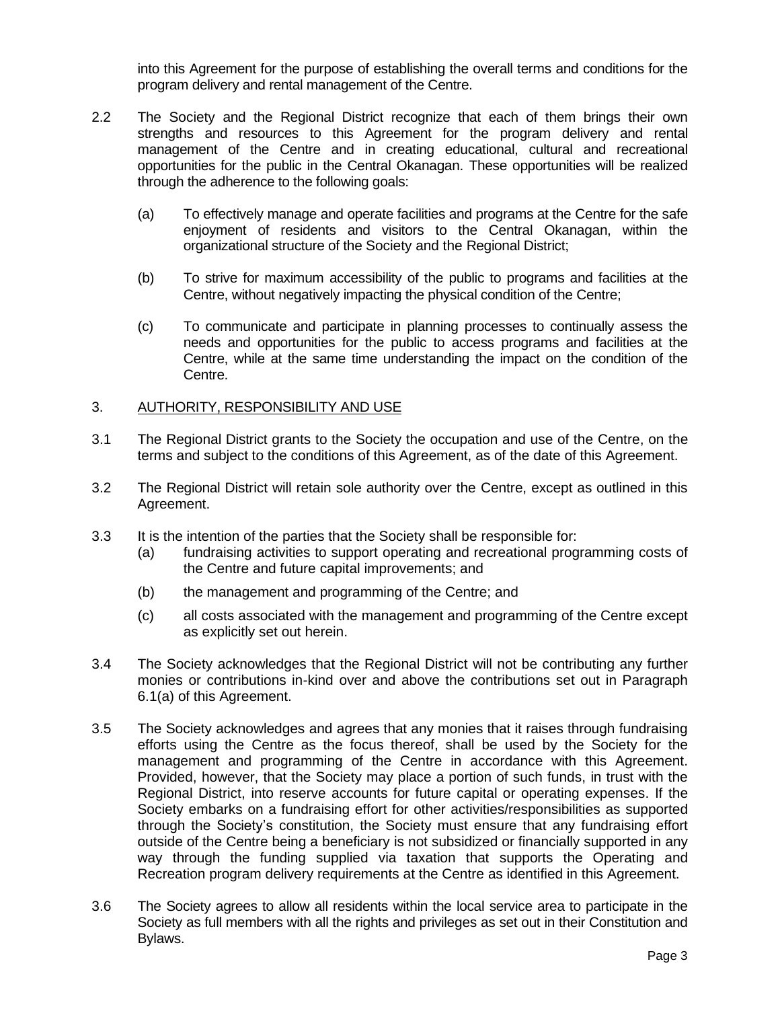into this Agreement for the purpose of establishing the overall terms and conditions for the program delivery and rental management of the Centre.

- 2.2 The Society and the Regional District recognize that each of them brings their own strengths and resources to this Agreement for the program delivery and rental management of the Centre and in creating educational, cultural and recreational opportunities for the public in the Central Okanagan. These opportunities will be realized through the adherence to the following goals:
	- (a) To effectively manage and operate facilities and programs at the Centre for the safe enjoyment of residents and visitors to the Central Okanagan, within the organizational structure of the Society and the Regional District;
	- (b) To strive for maximum accessibility of the public to programs and facilities at the Centre, without negatively impacting the physical condition of the Centre;
	- (c) To communicate and participate in planning processes to continually assess the needs and opportunities for the public to access programs and facilities at the Centre, while at the same time understanding the impact on the condition of the Centre.

#### 3. AUTHORITY, RESPONSIBILITY AND USE

- 3.1 The Regional District grants to the Society the occupation and use of the Centre, on the terms and subject to the conditions of this Agreement, as of the date of this Agreement.
- 3.2 The Regional District will retain sole authority over the Centre, except as outlined in this Agreement.
- 3.3 It is the intention of the parties that the Society shall be responsible for:
	- (a) fundraising activities to support operating and recreational programming costs of the Centre and future capital improvements; and
	- (b) the management and programming of the Centre; and
	- (c) all costs associated with the management and programming of the Centre except as explicitly set out herein.
- 3.4 The Society acknowledges that the Regional District will not be contributing any further monies or contributions in-kind over and above the contributions set out in Paragraph 6.1(a) of this Agreement.
- 3.5 The Society acknowledges and agrees that any monies that it raises through fundraising efforts using the Centre as the focus thereof, shall be used by the Society for the management and programming of the Centre in accordance with this Agreement. Provided, however, that the Society may place a portion of such funds, in trust with the Regional District, into reserve accounts for future capital or operating expenses. If the Society embarks on a fundraising effort for other activities/responsibilities as supported through the Society's constitution, the Society must ensure that any fundraising effort outside of the Centre being a beneficiary is not subsidized or financially supported in any way through the funding supplied via taxation that supports the Operating and Recreation program delivery requirements at the Centre as identified in this Agreement.
- 3.6 The Society agrees to allow all residents within the local service area to participate in the Society as full members with all the rights and privileges as set out in their Constitution and Bylaws.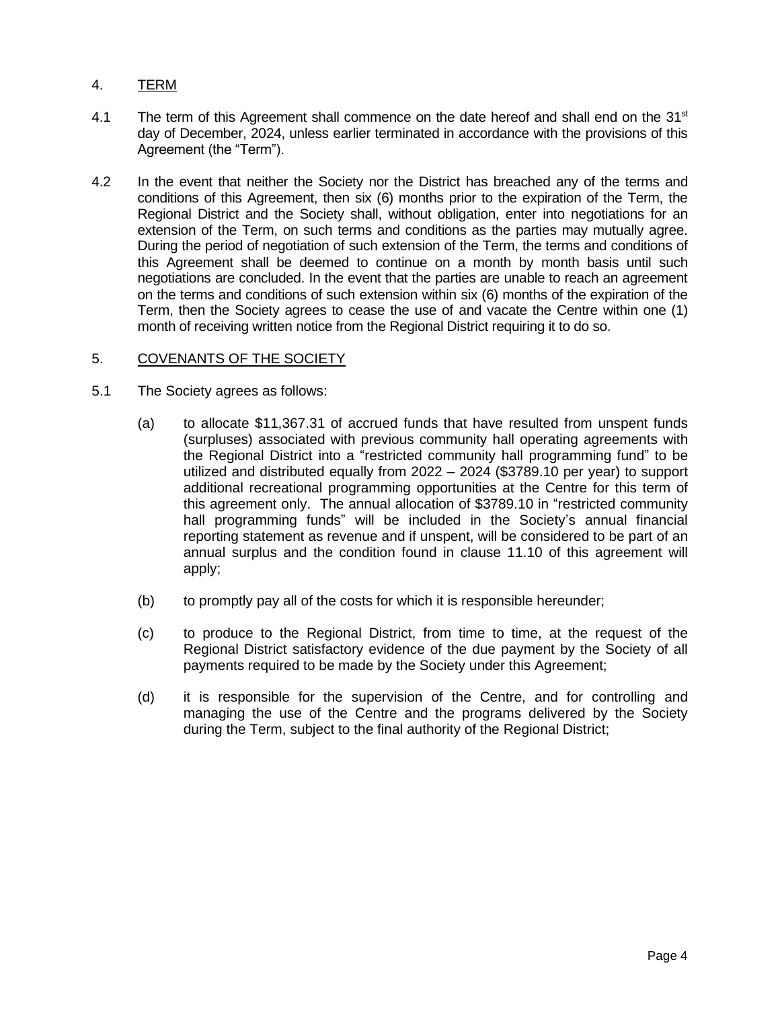# 4. TERM

- 4.1 The term of this Agreement shall commence on the date hereof and shall end on the  $31<sup>st</sup>$ day of December, 2024, unless earlier terminated in accordance with the provisions of this Agreement (the "Term").
- 4.2 In the event that neither the Society nor the District has breached any of the terms and conditions of this Agreement, then six (6) months prior to the expiration of the Term, the Regional District and the Society shall, without obligation, enter into negotiations for an extension of the Term, on such terms and conditions as the parties may mutually agree. During the period of negotiation of such extension of the Term, the terms and conditions of this Agreement shall be deemed to continue on a month by month basis until such negotiations are concluded. In the event that the parties are unable to reach an agreement on the terms and conditions of such extension within six (6) months of the expiration of the Term, then the Society agrees to cease the use of and vacate the Centre within one (1) month of receiving written notice from the Regional District requiring it to do so.

## 5. COVENANTS OF THE SOCIETY

- 5.1 The Society agrees as follows:
	- (a) to allocate \$11,367.31 of accrued funds that have resulted from unspent funds (surpluses) associated with previous community hall operating agreements with the Regional District into a "restricted community hall programming fund" to be utilized and distributed equally from 2022 – 2024 (\$3789.10 per year) to support additional recreational programming opportunities at the Centre for this term of this agreement only. The annual allocation of \$3789.10 in "restricted community hall programming funds" will be included in the Society's annual financial reporting statement as revenue and if unspent, will be considered to be part of an annual surplus and the condition found in clause 11.10 of this agreement will apply;
	- (b) to promptly pay all of the costs for which it is responsible hereunder;
	- (c) to produce to the Regional District, from time to time, at the request of the Regional District satisfactory evidence of the due payment by the Society of all payments required to be made by the Society under this Agreement;
	- (d) it is responsible for the supervision of the Centre, and for controlling and managing the use of the Centre and the programs delivered by the Society during the Term, subject to the final authority of the Regional District;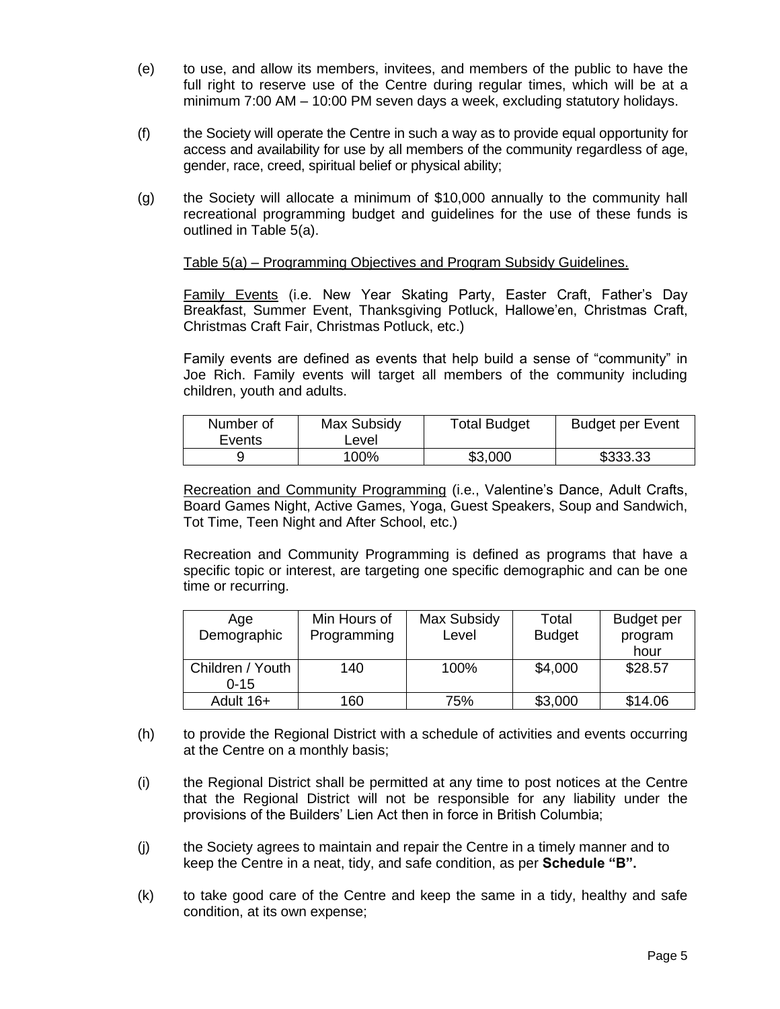- (e) to use, and allow its members, invitees, and members of the public to have the full right to reserve use of the Centre during regular times, which will be at a minimum 7:00 AM – 10:00 PM seven days a week, excluding statutory holidays.
- (f) the Society will operate the Centre in such a way as to provide equal opportunity for access and availability for use by all members of the community regardless of age, gender, race, creed, spiritual belief or physical ability;
- (g) the Society will allocate a minimum of \$10,000 annually to the community hall recreational programming budget and guidelines for the use of these funds is outlined in Table 5(a).

## Table 5(a) – Programming Objectives and Program Subsidy Guidelines.

Family Events (i.e. New Year Skating Party, Easter Craft, Father's Day Breakfast, Summer Event, Thanksgiving Potluck, Hallowe'en, Christmas Craft, Christmas Craft Fair, Christmas Potluck, etc.)

Family events are defined as events that help build a sense of "community" in Joe Rich. Family events will target all members of the community including children, youth and adults.

| Number of<br>Events | Max Subsidy<br>Level | <b>Total Budget</b> | <b>Budget per Event</b> |
|---------------------|----------------------|---------------------|-------------------------|
|                     | 100%                 | \$3,000             | \$333.33                |

Recreation and Community Programming (i.e., Valentine's Dance, Adult Crafts, Board Games Night, Active Games, Yoga, Guest Speakers, Soup and Sandwich, Tot Time, Teen Night and After School, etc.)

Recreation and Community Programming is defined as programs that have a specific topic or interest, are targeting one specific demographic and can be one time or recurring.

| Age              | Min Hours of | Max Subsidy | Total         | <b>Budget per</b> |
|------------------|--------------|-------------|---------------|-------------------|
| Demographic      | Programming  | Level       | <b>Budget</b> | program           |
|                  |              |             |               | hour              |
| Children / Youth | 140          | 100%        | \$4,000       | \$28.57           |
| $0 - 15$         |              |             |               |                   |
| Adult 16+        | 160          | 75%         | \$3,000       | \$14.06           |

- (h) to provide the Regional District with a schedule of activities and events occurring at the Centre on a monthly basis;
- (i) the Regional District shall be permitted at any time to post notices at the Centre that the Regional District will not be responsible for any liability under the provisions of the Builders' Lien Act then in force in British Columbia;
- (j) the Society agrees to maintain and repair the Centre in a timely manner and to keep the Centre in a neat, tidy, and safe condition, as per **Schedule "B".**
- (k) to take good care of the Centre and keep the same in a tidy, healthy and safe condition, at its own expense;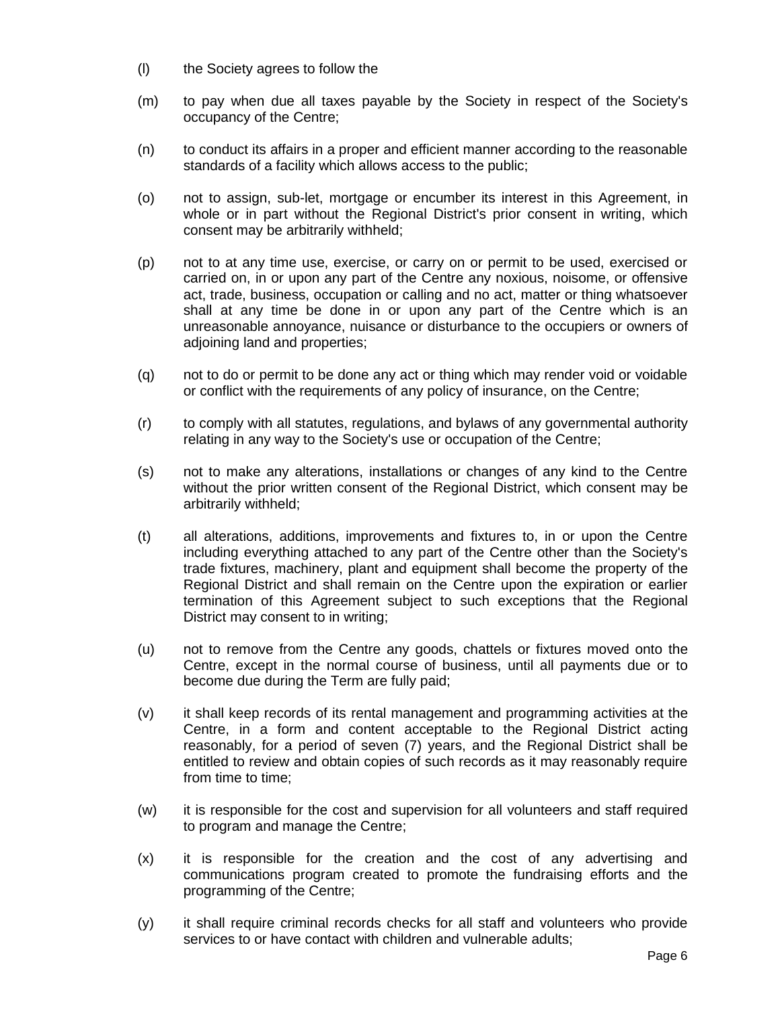- (l) the Society agrees to follow the
- (m) to pay when due all taxes payable by the Society in respect of the Society's occupancy of the Centre;
- (n) to conduct its affairs in a proper and efficient manner according to the reasonable standards of a facility which allows access to the public;
- (o) not to assign, sub-let, mortgage or encumber its interest in this Agreement, in whole or in part without the Regional District's prior consent in writing, which consent may be arbitrarily withheld;
- (p) not to at any time use, exercise, or carry on or permit to be used, exercised or carried on, in or upon any part of the Centre any noxious, noisome, or offensive act, trade, business, occupation or calling and no act, matter or thing whatsoever shall at any time be done in or upon any part of the Centre which is an unreasonable annoyance, nuisance or disturbance to the occupiers or owners of adjoining land and properties;
- (q) not to do or permit to be done any act or thing which may render void or voidable or conflict with the requirements of any policy of insurance, on the Centre;
- (r) to comply with all statutes, regulations, and bylaws of any governmental authority relating in any way to the Society's use or occupation of the Centre;
- (s) not to make any alterations, installations or changes of any kind to the Centre without the prior written consent of the Regional District, which consent may be arbitrarily withheld;
- (t) all alterations, additions, improvements and fixtures to, in or upon the Centre including everything attached to any part of the Centre other than the Society's trade fixtures, machinery, plant and equipment shall become the property of the Regional District and shall remain on the Centre upon the expiration or earlier termination of this Agreement subject to such exceptions that the Regional District may consent to in writing;
- (u) not to remove from the Centre any goods, chattels or fixtures moved onto the Centre, except in the normal course of business, until all payments due or to become due during the Term are fully paid;
- (v) it shall keep records of its rental management and programming activities at the Centre, in a form and content acceptable to the Regional District acting reasonably, for a period of seven (7) years, and the Regional District shall be entitled to review and obtain copies of such records as it may reasonably require from time to time;
- (w) it is responsible for the cost and supervision for all volunteers and staff required to program and manage the Centre;
- (x) it is responsible for the creation and the cost of any advertising and communications program created to promote the fundraising efforts and the programming of the Centre;
- (y) it shall require criminal records checks for all staff and volunteers who provide services to or have contact with children and vulnerable adults;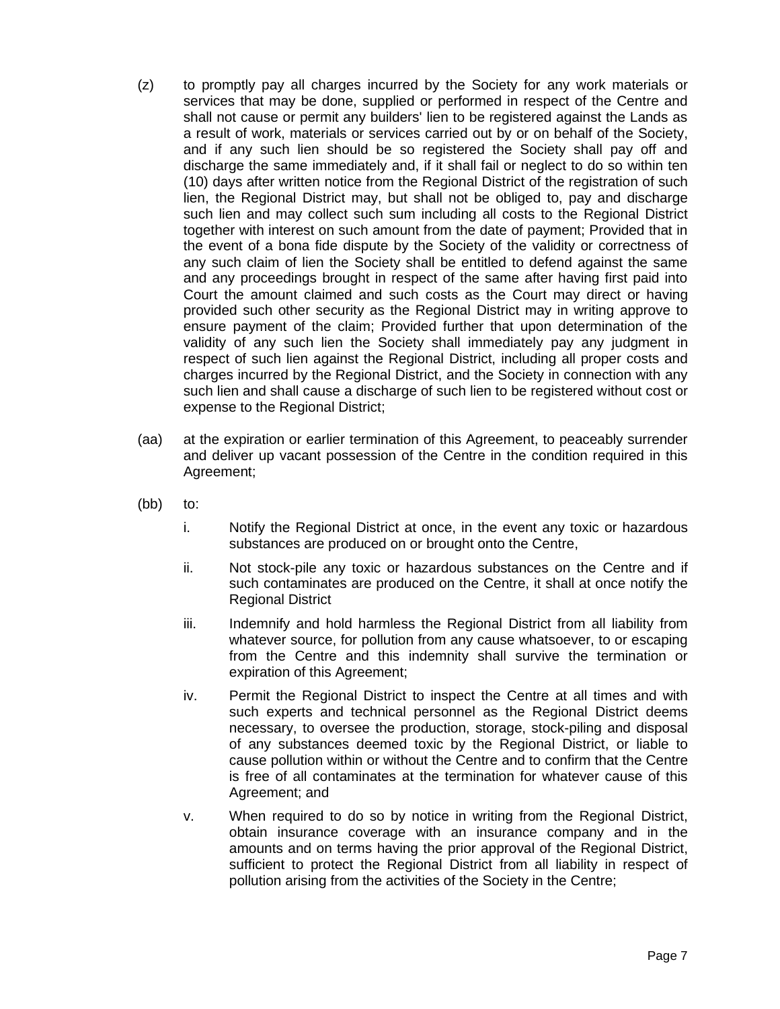- (z) to promptly pay all charges incurred by the Society for any work materials or services that may be done, supplied or performed in respect of the Centre and shall not cause or permit any builders' lien to be registered against the Lands as a result of work, materials or services carried out by or on behalf of the Society, and if any such lien should be so registered the Society shall pay off and discharge the same immediately and, if it shall fail or neglect to do so within ten (10) days after written notice from the Regional District of the registration of such lien, the Regional District may, but shall not be obliged to, pay and discharge such lien and may collect such sum including all costs to the Regional District together with interest on such amount from the date of payment; Provided that in the event of a bona fide dispute by the Society of the validity or correctness of any such claim of lien the Society shall be entitled to defend against the same and any proceedings brought in respect of the same after having first paid into Court the amount claimed and such costs as the Court may direct or having provided such other security as the Regional District may in writing approve to ensure payment of the claim; Provided further that upon determination of the validity of any such lien the Society shall immediately pay any judgment in respect of such lien against the Regional District, including all proper costs and charges incurred by the Regional District, and the Society in connection with any such lien and shall cause a discharge of such lien to be registered without cost or expense to the Regional District;
- (aa) at the expiration or earlier termination of this Agreement, to peaceably surrender and deliver up vacant possession of the Centre in the condition required in this Agreement;
- (bb) to:
	- i. Notify the Regional District at once, in the event any toxic or hazardous substances are produced on or brought onto the Centre,
	- ii. Not stock-pile any toxic or hazardous substances on the Centre and if such contaminates are produced on the Centre, it shall at once notify the Regional District
	- iii. Indemnify and hold harmless the Regional District from all liability from whatever source, for pollution from any cause whatsoever, to or escaping from the Centre and this indemnity shall survive the termination or expiration of this Agreement;
	- iv. Permit the Regional District to inspect the Centre at all times and with such experts and technical personnel as the Regional District deems necessary, to oversee the production, storage, stock-piling and disposal of any substances deemed toxic by the Regional District, or liable to cause pollution within or without the Centre and to confirm that the Centre is free of all contaminates at the termination for whatever cause of this Agreement; and
	- v. When required to do so by notice in writing from the Regional District, obtain insurance coverage with an insurance company and in the amounts and on terms having the prior approval of the Regional District, sufficient to protect the Regional District from all liability in respect of pollution arising from the activities of the Society in the Centre;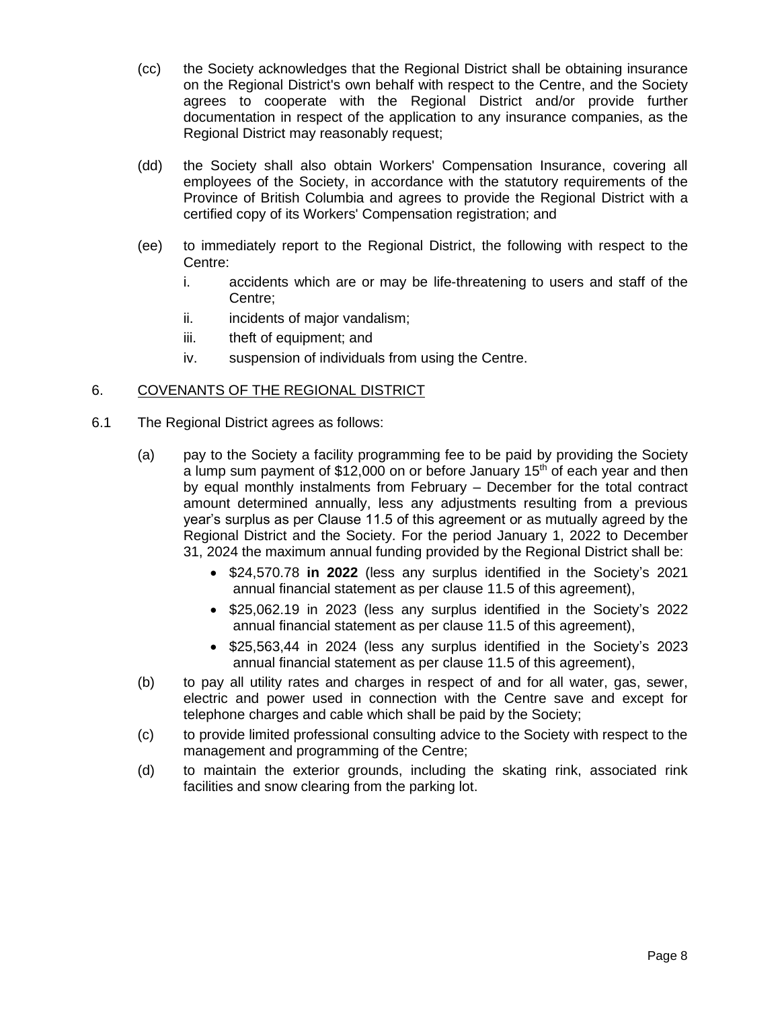- (cc) the Society acknowledges that the Regional District shall be obtaining insurance on the Regional District's own behalf with respect to the Centre, and the Society agrees to cooperate with the Regional District and/or provide further documentation in respect of the application to any insurance companies, as the Regional District may reasonably request;
- (dd) the Society shall also obtain Workers' Compensation Insurance, covering all employees of the Society, in accordance with the statutory requirements of the Province of British Columbia and agrees to provide the Regional District with a certified copy of its Workers' Compensation registration; and
- (ee) to immediately report to the Regional District, the following with respect to the Centre:
	- i. accidents which are or may be life-threatening to users and staff of the Centre;
	- ii. incidents of major vandalism;
	- iii. theft of equipment; and
	- iv. suspension of individuals from using the Centre.

# 6. COVENANTS OF THE REGIONAL DISTRICT

- 6.1 The Regional District agrees as follows:
	- (a) pay to the Society a facility programming fee to be paid by providing the Society a lump sum payment of \$12,000 on or before January 15<sup>th</sup> of each year and then by equal monthly instalments from February – December for the total contract amount determined annually, less any adjustments resulting from a previous year's surplus as per Clause 11.5 of this agreement or as mutually agreed by the Regional District and the Society. For the period January 1, 2022 to December 31, 2024 the maximum annual funding provided by the Regional District shall be:
		- \$24,570.78 **in 2022** (less any surplus identified in the Society's 2021 annual financial statement as per clause 11.5 of this agreement),
		- \$25,062.19 in 2023 (less any surplus identified in the Society's 2022 annual financial statement as per clause 11.5 of this agreement),
		- \$25,563,44 in 2024 (less any surplus identified in the Society's 2023 annual financial statement as per clause 11.5 of this agreement),
	- (b) to pay all utility rates and charges in respect of and for all water, gas, sewer, electric and power used in connection with the Centre save and except for telephone charges and cable which shall be paid by the Society;
	- (c) to provide limited professional consulting advice to the Society with respect to the management and programming of the Centre;
	- (d) to maintain the exterior grounds, including the skating rink, associated rink facilities and snow clearing from the parking lot.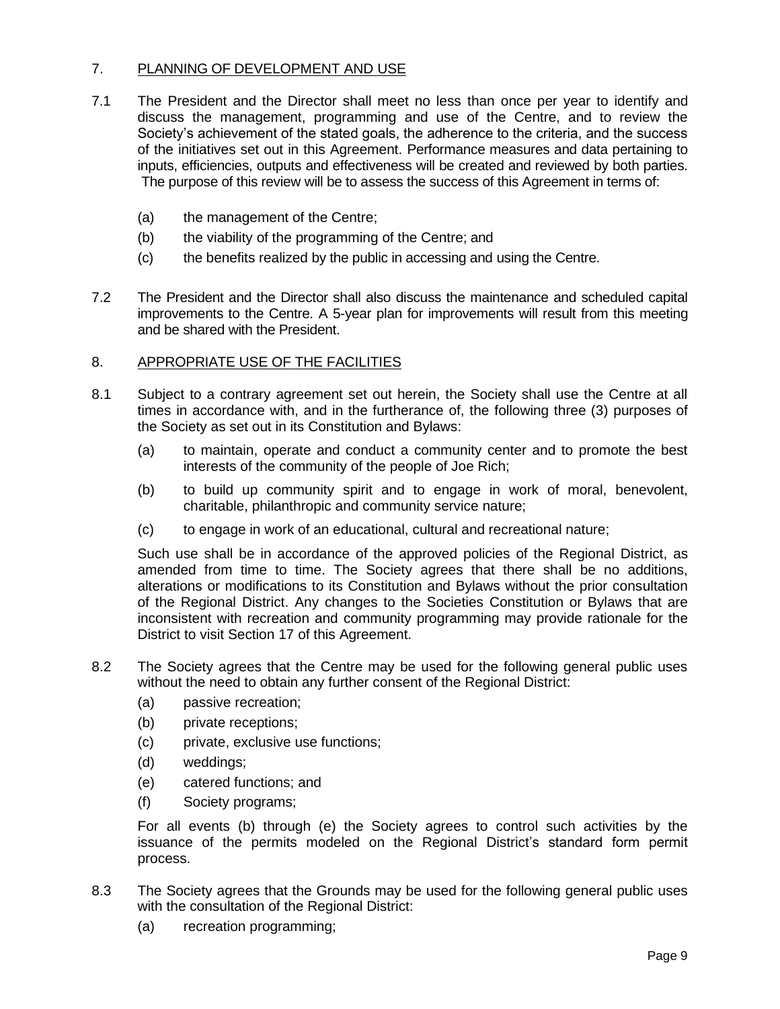# 7. PLANNING OF DEVELOPMENT AND USE

- 7.1 The President and the Director shall meet no less than once per year to identify and discuss the management, programming and use of the Centre, and to review the Society's achievement of the stated goals, the adherence to the criteria, and the success of the initiatives set out in this Agreement. Performance measures and data pertaining to inputs, efficiencies, outputs and effectiveness will be created and reviewed by both parties. The purpose of this review will be to assess the success of this Agreement in terms of:
	- (a) the management of the Centre;
	- (b) the viability of the programming of the Centre; and
	- (c) the benefits realized by the public in accessing and using the Centre.
- 7.2 The President and the Director shall also discuss the maintenance and scheduled capital improvements to the Centre. A 5-year plan for improvements will result from this meeting and be shared with the President.

# 8. APPROPRIATE USE OF THE FACILITIES

- 8.1 Subject to a contrary agreement set out herein, the Society shall use the Centre at all times in accordance with, and in the furtherance of, the following three (3) purposes of the Society as set out in its Constitution and Bylaws:
	- (a) to maintain, operate and conduct a community center and to promote the best interests of the community of the people of Joe Rich;
	- (b) to build up community spirit and to engage in work of moral, benevolent, charitable, philanthropic and community service nature;
	- (c) to engage in work of an educational, cultural and recreational nature;

Such use shall be in accordance of the approved policies of the Regional District, as amended from time to time. The Society agrees that there shall be no additions, alterations or modifications to its Constitution and Bylaws without the prior consultation of the Regional District. Any changes to the Societies Constitution or Bylaws that are inconsistent with recreation and community programming may provide rationale for the District to visit Section 17 of this Agreement.

- 8.2 The Society agrees that the Centre may be used for the following general public uses without the need to obtain any further consent of the Regional District:
	- (a) passive recreation;
	- (b) private receptions;
	- (c) private, exclusive use functions;
	- (d) weddings;
	- (e) catered functions; and
	- (f) Society programs;

For all events (b) through (e) the Society agrees to control such activities by the issuance of the permits modeled on the Regional District's standard form permit process.

- 8.3 The Society agrees that the Grounds may be used for the following general public uses with the consultation of the Regional District:
	- (a) recreation programming;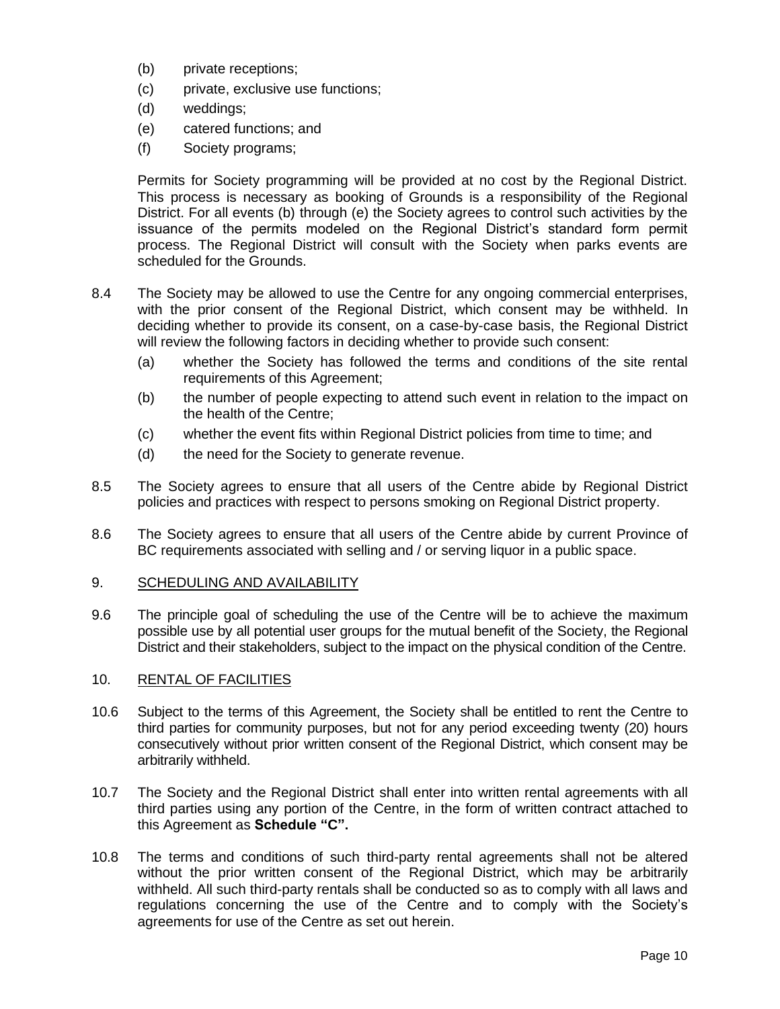- (b) private receptions;
- (c) private, exclusive use functions;
- (d) weddings;
- (e) catered functions; and
- (f) Society programs;

Permits for Society programming will be provided at no cost by the Regional District. This process is necessary as booking of Grounds is a responsibility of the Regional District. For all events (b) through (e) the Society agrees to control such activities by the issuance of the permits modeled on the Regional District's standard form permit process. The Regional District will consult with the Society when parks events are scheduled for the Grounds.

- 8.4 The Society may be allowed to use the Centre for any ongoing commercial enterprises, with the prior consent of the Regional District, which consent may be withheld. In deciding whether to provide its consent, on a case-by-case basis, the Regional District will review the following factors in deciding whether to provide such consent:
	- (a) whether the Society has followed the terms and conditions of the site rental requirements of this Agreement;
	- (b) the number of people expecting to attend such event in relation to the impact on the health of the Centre;
	- (c) whether the event fits within Regional District policies from time to time; and
	- (d) the need for the Society to generate revenue.
- 8.5 The Society agrees to ensure that all users of the Centre abide by Regional District policies and practices with respect to persons smoking on Regional District property.
- 8.6 The Society agrees to ensure that all users of the Centre abide by current Province of BC requirements associated with selling and / or serving liquor in a public space.

#### 9. SCHEDULING AND AVAILABILITY

9.6 The principle goal of scheduling the use of the Centre will be to achieve the maximum possible use by all potential user groups for the mutual benefit of the Society, the Regional District and their stakeholders, subject to the impact on the physical condition of the Centre.

## 10. RENTAL OF FACILITIES

- 10.6 Subject to the terms of this Agreement, the Society shall be entitled to rent the Centre to third parties for community purposes, but not for any period exceeding twenty (20) hours consecutively without prior written consent of the Regional District, which consent may be arbitrarily withheld.
- 10.7 The Society and the Regional District shall enter into written rental agreements with all third parties using any portion of the Centre, in the form of written contract attached to this Agreement as **Schedule "C".**
- 10.8 The terms and conditions of such third-party rental agreements shall not be altered without the prior written consent of the Regional District, which may be arbitrarily withheld. All such third-party rentals shall be conducted so as to comply with all laws and regulations concerning the use of the Centre and to comply with the Society's agreements for use of the Centre as set out herein.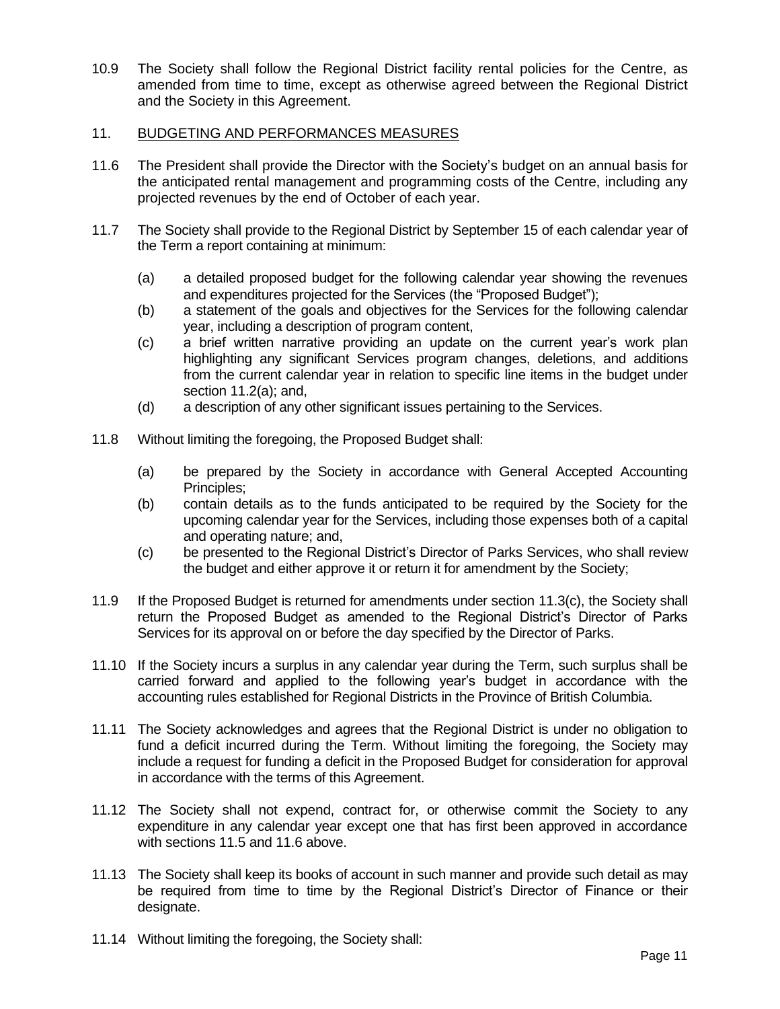10.9 The Society shall follow the Regional District facility rental policies for the Centre, as amended from time to time, except as otherwise agreed between the Regional District and the Society in this Agreement.

#### 11. BUDGETING AND PERFORMANCES MEASURES

- 11.6 The President shall provide the Director with the Society's budget on an annual basis for the anticipated rental management and programming costs of the Centre, including any projected revenues by the end of October of each year.
- 11.7 The Society shall provide to the Regional District by September 15 of each calendar year of the Term a report containing at minimum:
	- (a) a detailed proposed budget for the following calendar year showing the revenues and expenditures projected for the Services (the "Proposed Budget");
	- (b) a statement of the goals and objectives for the Services for the following calendar year, including a description of program content,
	- (c) a brief written narrative providing an update on the current year's work plan highlighting any significant Services program changes, deletions, and additions from the current calendar year in relation to specific line items in the budget under section 11.2(a); and,
	- (d) a description of any other significant issues pertaining to the Services.
- 11.8 Without limiting the foregoing, the Proposed Budget shall:
	- (a) be prepared by the Society in accordance with General Accepted Accounting Principles;
	- (b) contain details as to the funds anticipated to be required by the Society for the upcoming calendar year for the Services, including those expenses both of a capital and operating nature; and,
	- (c) be presented to the Regional District's Director of Parks Services, who shall review the budget and either approve it or return it for amendment by the Society;
- 11.9 If the Proposed Budget is returned for amendments under section 11.3(c), the Society shall return the Proposed Budget as amended to the Regional District's Director of Parks Services for its approval on or before the day specified by the Director of Parks.
- 11.10 If the Society incurs a surplus in any calendar year during the Term, such surplus shall be carried forward and applied to the following year's budget in accordance with the accounting rules established for Regional Districts in the Province of British Columbia.
- 11.11 The Society acknowledges and agrees that the Regional District is under no obligation to fund a deficit incurred during the Term. Without limiting the foregoing, the Society may include a request for funding a deficit in the Proposed Budget for consideration for approval in accordance with the terms of this Agreement.
- 11.12 The Society shall not expend, contract for, or otherwise commit the Society to any expenditure in any calendar year except one that has first been approved in accordance with sections 11.5 and 11.6 above.
- 11.13 The Society shall keep its books of account in such manner and provide such detail as may be required from time to time by the Regional District's Director of Finance or their designate.
- 11.14 Without limiting the foregoing, the Society shall: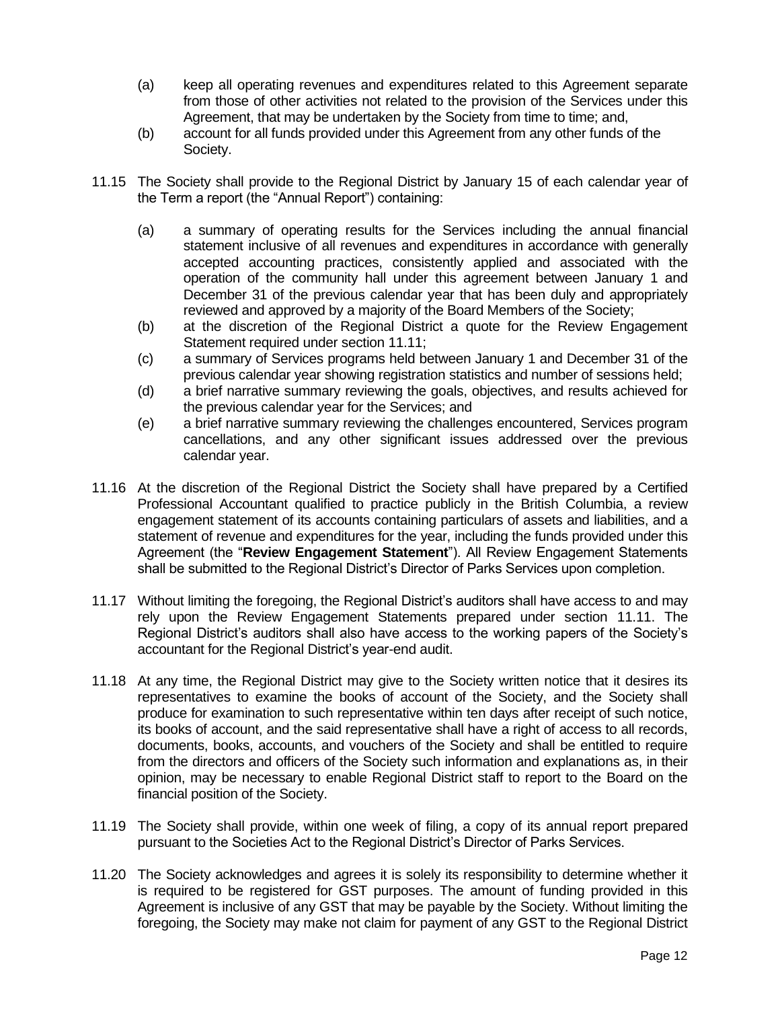- (a) keep all operating revenues and expenditures related to this Agreement separate from those of other activities not related to the provision of the Services under this Agreement, that may be undertaken by the Society from time to time; and,
- (b) account for all funds provided under this Agreement from any other funds of the Society.
- 11.15 The Society shall provide to the Regional District by January 15 of each calendar year of the Term a report (the "Annual Report") containing:
	- (a) a summary of operating results for the Services including the annual financial statement inclusive of all revenues and expenditures in accordance with generally accepted accounting practices, consistently applied and associated with the operation of the community hall under this agreement between January 1 and December 31 of the previous calendar year that has been duly and appropriately reviewed and approved by a majority of the Board Members of the Society;
	- (b) at the discretion of the Regional District a quote for the Review Engagement Statement required under section 11.11;
	- (c) a summary of Services programs held between January 1 and December 31 of the previous calendar year showing registration statistics and number of sessions held;
	- (d) a brief narrative summary reviewing the goals, objectives, and results achieved for the previous calendar year for the Services; and
	- (e) a brief narrative summary reviewing the challenges encountered, Services program cancellations, and any other significant issues addressed over the previous calendar year.
- 11.16 At the discretion of the Regional District the Society shall have prepared by a Certified Professional Accountant qualified to practice publicly in the British Columbia, a review engagement statement of its accounts containing particulars of assets and liabilities, and a statement of revenue and expenditures for the year, including the funds provided under this Agreement (the "**Review Engagement Statement**"). All Review Engagement Statements shall be submitted to the Regional District's Director of Parks Services upon completion.
- 11.17 Without limiting the foregoing, the Regional District's auditors shall have access to and may rely upon the Review Engagement Statements prepared under section 11.11. The Regional District's auditors shall also have access to the working papers of the Society's accountant for the Regional District's year-end audit.
- 11.18 At any time, the Regional District may give to the Society written notice that it desires its representatives to examine the books of account of the Society, and the Society shall produce for examination to such representative within ten days after receipt of such notice, its books of account, and the said representative shall have a right of access to all records, documents, books, accounts, and vouchers of the Society and shall be entitled to require from the directors and officers of the Society such information and explanations as, in their opinion, may be necessary to enable Regional District staff to report to the Board on the financial position of the Society.
- 11.19 The Society shall provide, within one week of filing, a copy of its annual report prepared pursuant to the Societies Act to the Regional District's Director of Parks Services.
- 11.20 The Society acknowledges and agrees it is solely its responsibility to determine whether it is required to be registered for GST purposes. The amount of funding provided in this Agreement is inclusive of any GST that may be payable by the Society. Without limiting the foregoing, the Society may make not claim for payment of any GST to the Regional District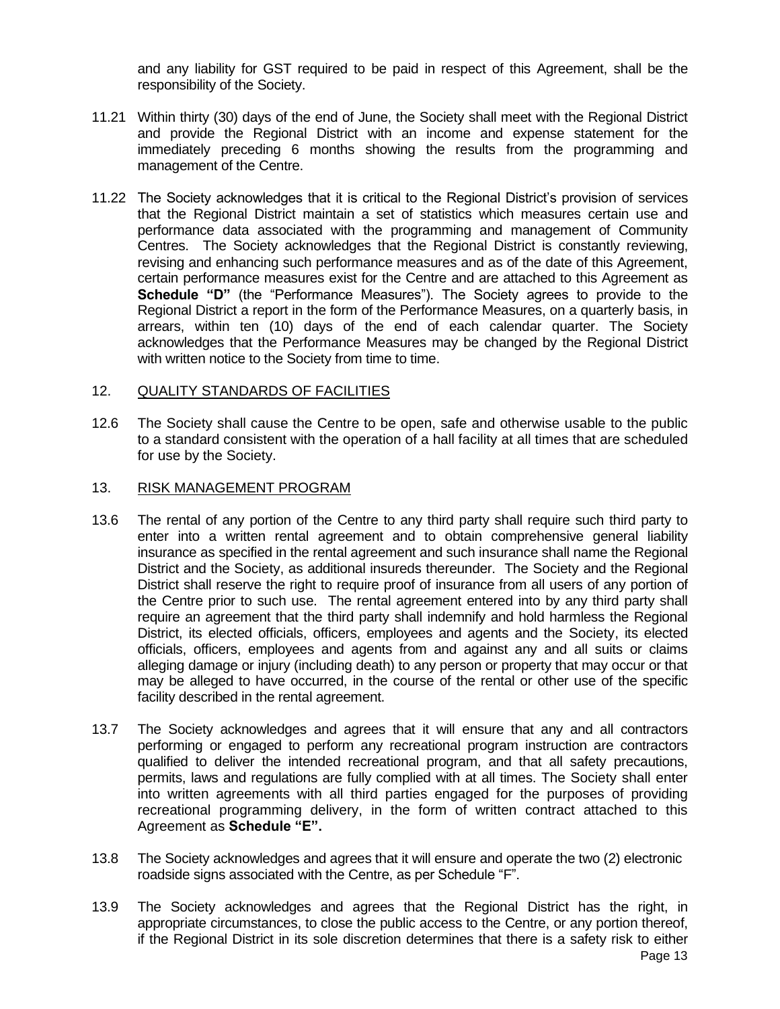and any liability for GST required to be paid in respect of this Agreement, shall be the responsibility of the Society.

- 11.21 Within thirty (30) days of the end of June, the Society shall meet with the Regional District and provide the Regional District with an income and expense statement for the immediately preceding 6 months showing the results from the programming and management of the Centre.
- 11.22 The Society acknowledges that it is critical to the Regional District's provision of services that the Regional District maintain a set of statistics which measures certain use and performance data associated with the programming and management of Community Centres. The Society acknowledges that the Regional District is constantly reviewing, revising and enhancing such performance measures and as of the date of this Agreement, certain performance measures exist for the Centre and are attached to this Agreement as **Schedule "D"** (the "Performance Measures"). The Society agrees to provide to the Regional District a report in the form of the Performance Measures, on a quarterly basis, in arrears, within ten (10) days of the end of each calendar quarter. The Society acknowledges that the Performance Measures may be changed by the Regional District with written notice to the Society from time to time.

## 12. QUALITY STANDARDS OF FACILITIES

12.6 The Society shall cause the Centre to be open, safe and otherwise usable to the public to a standard consistent with the operation of a hall facility at all times that are scheduled for use by the Society.

## 13. RISK MANAGEMENT PROGRAM

- 13.6 The rental of any portion of the Centre to any third party shall require such third party to enter into a written rental agreement and to obtain comprehensive general liability insurance as specified in the rental agreement and such insurance shall name the Regional District and the Society, as additional insureds thereunder. The Society and the Regional District shall reserve the right to require proof of insurance from all users of any portion of the Centre prior to such use. The rental agreement entered into by any third party shall require an agreement that the third party shall indemnify and hold harmless the Regional District, its elected officials, officers, employees and agents and the Society, its elected officials, officers, employees and agents from and against any and all suits or claims alleging damage or injury (including death) to any person or property that may occur or that may be alleged to have occurred, in the course of the rental or other use of the specific facility described in the rental agreement.
- 13.7 The Society acknowledges and agrees that it will ensure that any and all contractors performing or engaged to perform any recreational program instruction are contractors qualified to deliver the intended recreational program, and that all safety precautions, permits, laws and regulations are fully complied with at all times. The Society shall enter into written agreements with all third parties engaged for the purposes of providing recreational programming delivery, in the form of written contract attached to this Agreement as **Schedule "E".**
- 13.8 The Society acknowledges and agrees that it will ensure and operate the two (2) electronic roadside signs associated with the Centre, as per Schedule "F".
- 13.9 The Society acknowledges and agrees that the Regional District has the right, in appropriate circumstances, to close the public access to the Centre, or any portion thereof, if the Regional District in its sole discretion determines that there is a safety risk to either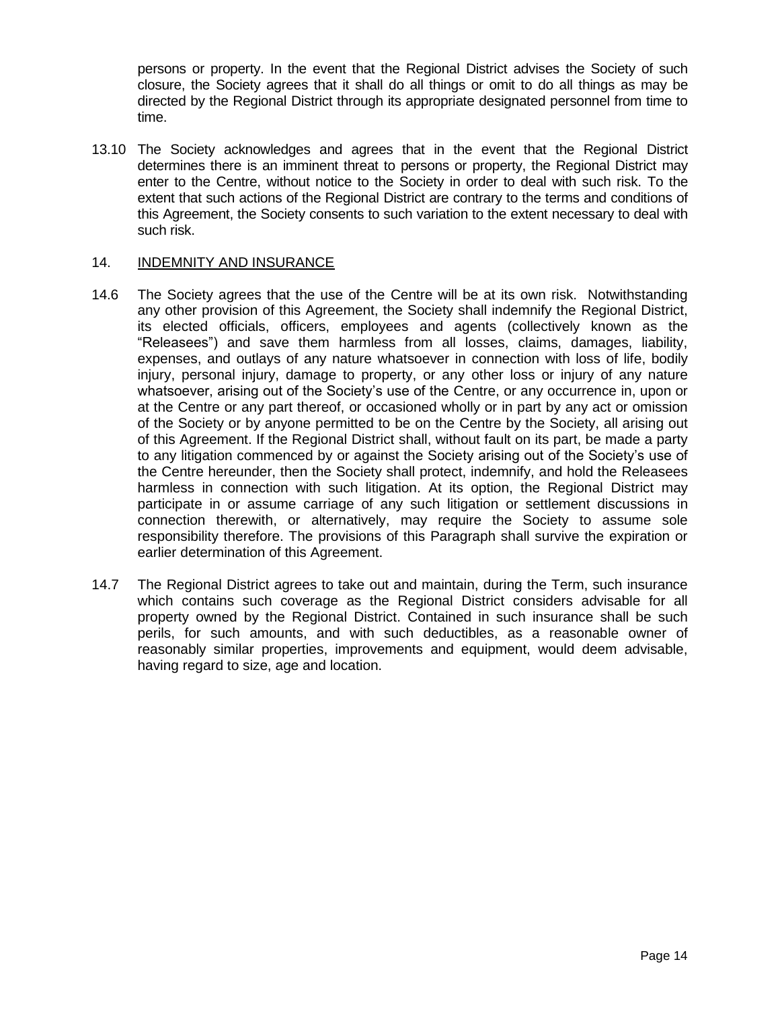persons or property. In the event that the Regional District advises the Society of such closure, the Society agrees that it shall do all things or omit to do all things as may be directed by the Regional District through its appropriate designated personnel from time to time.

13.10 The Society acknowledges and agrees that in the event that the Regional District determines there is an imminent threat to persons or property, the Regional District may enter to the Centre, without notice to the Society in order to deal with such risk. To the extent that such actions of the Regional District are contrary to the terms and conditions of this Agreement, the Society consents to such variation to the extent necessary to deal with such risk.

# 14. INDEMNITY AND INSURANCE

- 14.6 The Society agrees that the use of the Centre will be at its own risk. Notwithstanding any other provision of this Agreement, the Society shall indemnify the Regional District, its elected officials, officers, employees and agents (collectively known as the "Releasees") and save them harmless from all losses, claims, damages, liability, expenses, and outlays of any nature whatsoever in connection with loss of life, bodily injury, personal injury, damage to property, or any other loss or injury of any nature whatsoever, arising out of the Society's use of the Centre, or any occurrence in, upon or at the Centre or any part thereof, or occasioned wholly or in part by any act or omission of the Society or by anyone permitted to be on the Centre by the Society, all arising out of this Agreement. If the Regional District shall, without fault on its part, be made a party to any litigation commenced by or against the Society arising out of the Society's use of the Centre hereunder, then the Society shall protect, indemnify, and hold the Releasees harmless in connection with such litigation. At its option, the Regional District may participate in or assume carriage of any such litigation or settlement discussions in connection therewith, or alternatively, may require the Society to assume sole responsibility therefore. The provisions of this Paragraph shall survive the expiration or earlier determination of this Agreement.
- 14.7 The Regional District agrees to take out and maintain, during the Term, such insurance which contains such coverage as the Regional District considers advisable for all property owned by the Regional District. Contained in such insurance shall be such perils, for such amounts, and with such deductibles, as a reasonable owner of reasonably similar properties, improvements and equipment, would deem advisable, having regard to size, age and location.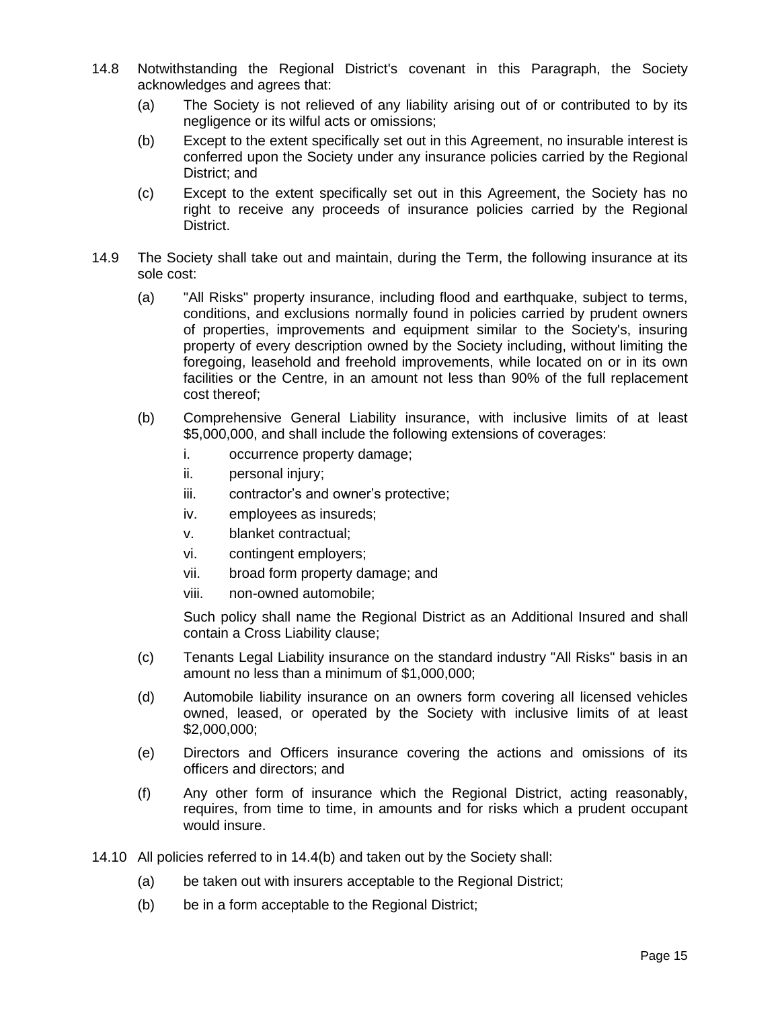- 14.8 Notwithstanding the Regional District's covenant in this Paragraph, the Society acknowledges and agrees that:
	- (a) The Society is not relieved of any liability arising out of or contributed to by its negligence or its wilful acts or omissions;
	- (b) Except to the extent specifically set out in this Agreement, no insurable interest is conferred upon the Society under any insurance policies carried by the Regional District; and
	- (c) Except to the extent specifically set out in this Agreement, the Society has no right to receive any proceeds of insurance policies carried by the Regional District.
- 14.9 The Society shall take out and maintain, during the Term, the following insurance at its sole cost:
	- (a) "All Risks" property insurance, including flood and earthquake, subject to terms, conditions, and exclusions normally found in policies carried by prudent owners of properties, improvements and equipment similar to the Society's, insuring property of every description owned by the Society including, without limiting the foregoing, leasehold and freehold improvements, while located on or in its own facilities or the Centre, in an amount not less than 90% of the full replacement cost thereof;
	- (b) Comprehensive General Liability insurance, with inclusive limits of at least \$5,000,000, and shall include the following extensions of coverages:
		- i. occurrence property damage;
		- ii. personal injury;
		- iii. contractor's and owner's protective;
		- iv. employees as insureds;
		- v. blanket contractual;
		- vi. contingent employers;
		- vii. broad form property damage; and
		- viii. non-owned automobile;

Such policy shall name the Regional District as an Additional Insured and shall contain a Cross Liability clause;

- (c) Tenants Legal Liability insurance on the standard industry "All Risks" basis in an amount no less than a minimum of \$1,000,000;
- (d) Automobile liability insurance on an owners form covering all licensed vehicles owned, leased, or operated by the Society with inclusive limits of at least \$2,000,000;
- (e) Directors and Officers insurance covering the actions and omissions of its officers and directors; and
- (f) Any other form of insurance which the Regional District, acting reasonably, requires, from time to time, in amounts and for risks which a prudent occupant would insure.
- 14.10 All policies referred to in 14.4(b) and taken out by the Society shall:
	- (a) be taken out with insurers acceptable to the Regional District;
	- (b) be in a form acceptable to the Regional District;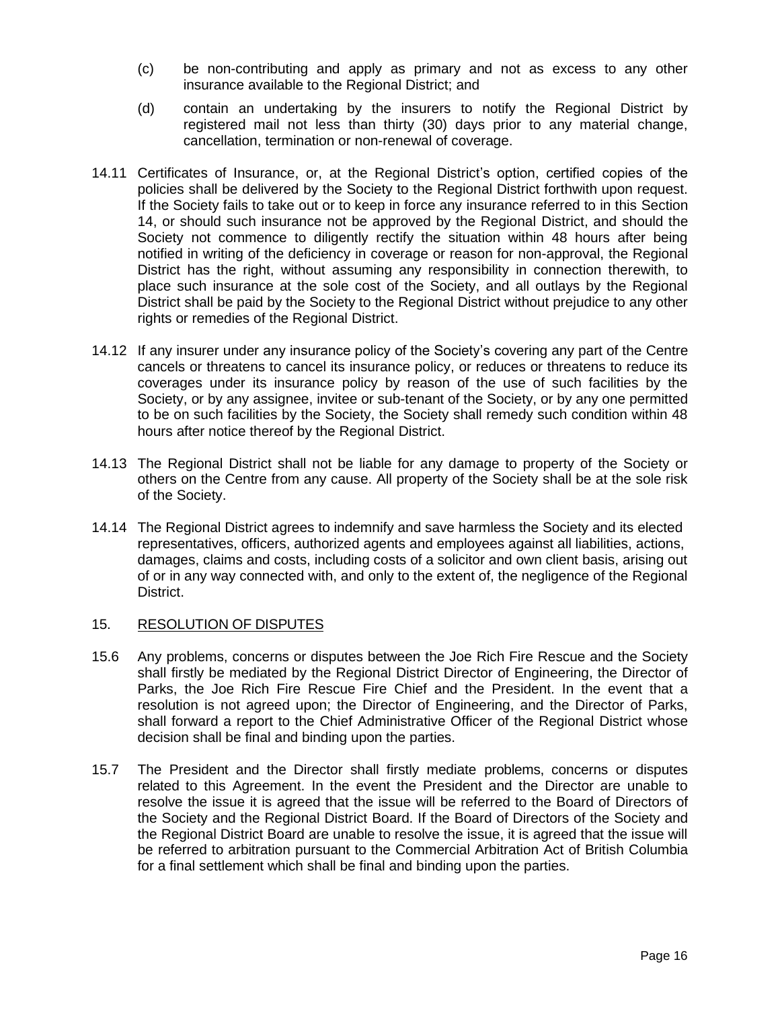- (c) be non-contributing and apply as primary and not as excess to any other insurance available to the Regional District; and
- (d) contain an undertaking by the insurers to notify the Regional District by registered mail not less than thirty (30) days prior to any material change, cancellation, termination or non-renewal of coverage.
- 14.11 Certificates of Insurance, or, at the Regional District's option, certified copies of the policies shall be delivered by the Society to the Regional District forthwith upon request. If the Society fails to take out or to keep in force any insurance referred to in this Section 14, or should such insurance not be approved by the Regional District, and should the Society not commence to diligently rectify the situation within 48 hours after being notified in writing of the deficiency in coverage or reason for non-approval, the Regional District has the right, without assuming any responsibility in connection therewith, to place such insurance at the sole cost of the Society, and all outlays by the Regional District shall be paid by the Society to the Regional District without prejudice to any other rights or remedies of the Regional District.
- 14.12 If any insurer under any insurance policy of the Society's covering any part of the Centre cancels or threatens to cancel its insurance policy, or reduces or threatens to reduce its coverages under its insurance policy by reason of the use of such facilities by the Society, or by any assignee, invitee or sub-tenant of the Society, or by any one permitted to be on such facilities by the Society, the Society shall remedy such condition within 48 hours after notice thereof by the Regional District.
- 14.13 The Regional District shall not be liable for any damage to property of the Society or others on the Centre from any cause. All property of the Society shall be at the sole risk of the Society.
- 14.14 The Regional District agrees to indemnify and save harmless the Society and its elected representatives, officers, authorized agents and employees against all liabilities, actions, damages, claims and costs, including costs of a solicitor and own client basis, arising out of or in any way connected with, and only to the extent of, the negligence of the Regional District.

# 15. RESOLUTION OF DISPUTES

- 15.6 Any problems, concerns or disputes between the Joe Rich Fire Rescue and the Society shall firstly be mediated by the Regional District Director of Engineering, the Director of Parks, the Joe Rich Fire Rescue Fire Chief and the President. In the event that a resolution is not agreed upon; the Director of Engineering, and the Director of Parks, shall forward a report to the Chief Administrative Officer of the Regional District whose decision shall be final and binding upon the parties.
- 15.7 The President and the Director shall firstly mediate problems, concerns or disputes related to this Agreement. In the event the President and the Director are unable to resolve the issue it is agreed that the issue will be referred to the Board of Directors of the Society and the Regional District Board. If the Board of Directors of the Society and the Regional District Board are unable to resolve the issue, it is agreed that the issue will be referred to arbitration pursuant to the Commercial Arbitration Act of British Columbia for a final settlement which shall be final and binding upon the parties.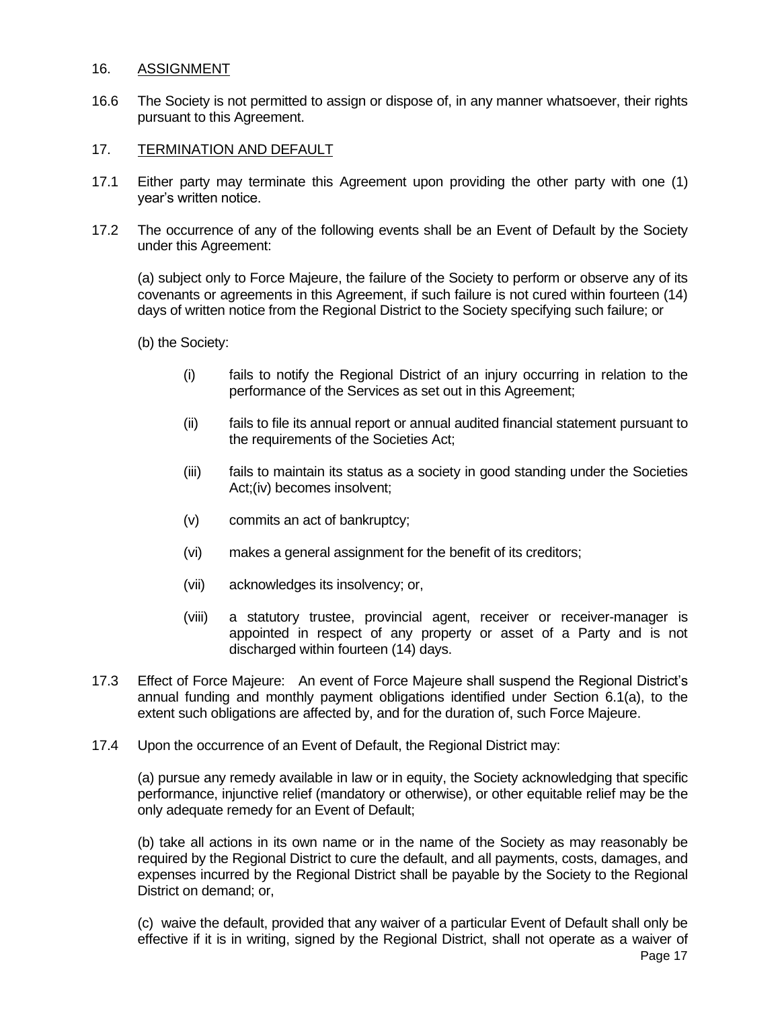#### 16. ASSIGNMENT

16.6 The Society is not permitted to assign or dispose of, in any manner whatsoever, their rights pursuant to this Agreement.

## 17. TERMINATION AND DEFAULT

- 17.1 Either party may terminate this Agreement upon providing the other party with one (1) year's written notice.
- 17.2 The occurrence of any of the following events shall be an Event of Default by the Society under this Agreement:

(a) subject only to Force Majeure, the failure of the Society to perform or observe any of its covenants or agreements in this Agreement, if such failure is not cured within fourteen (14) days of written notice from the Regional District to the Society specifying such failure; or

(b) the Society:

- (i) fails to notify the Regional District of an injury occurring in relation to the performance of the Services as set out in this Agreement;
- (ii) fails to file its annual report or annual audited financial statement pursuant to the requirements of the Societies Act;
- (iii) fails to maintain its status as a society in good standing under the Societies Act;(iv) becomes insolvent;
- (v) commits an act of bankruptcy;
- (vi) makes a general assignment for the benefit of its creditors;
- (vii) acknowledges its insolvency; or,
- (viii) a statutory trustee, provincial agent, receiver or receiver-manager is appointed in respect of any property or asset of a Party and is not discharged within fourteen (14) days.
- 17.3 Effect of Force Majeure: An event of Force Majeure shall suspend the Regional District's annual funding and monthly payment obligations identified under Section 6.1(a), to the extent such obligations are affected by, and for the duration of, such Force Majeure.
- 17.4 Upon the occurrence of an Event of Default, the Regional District may:

(a) pursue any remedy available in law or in equity, the Society acknowledging that specific performance, injunctive relief (mandatory or otherwise), or other equitable relief may be the only adequate remedy for an Event of Default;

(b) take all actions in its own name or in the name of the Society as may reasonably be required by the Regional District to cure the default, and all payments, costs, damages, and expenses incurred by the Regional District shall be payable by the Society to the Regional District on demand; or,

(c) waive the default, provided that any waiver of a particular Event of Default shall only be effective if it is in writing, signed by the Regional District, shall not operate as a waiver of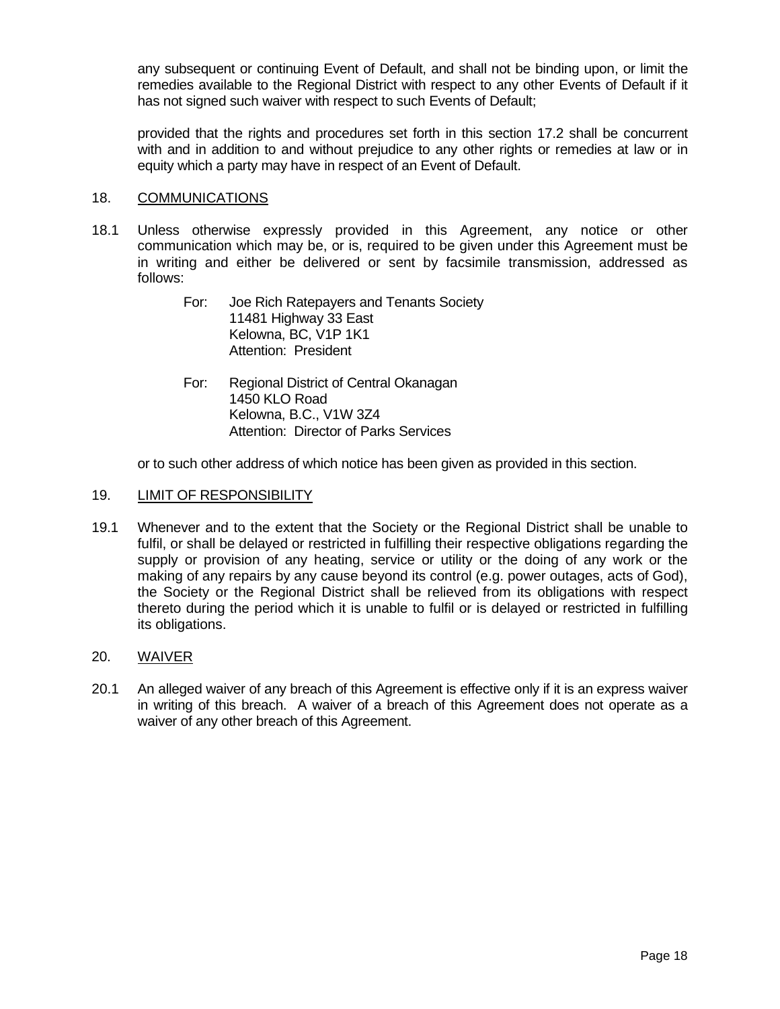any subsequent or continuing Event of Default, and shall not be binding upon, or limit the remedies available to the Regional District with respect to any other Events of Default if it has not signed such waiver with respect to such Events of Default;

provided that the rights and procedures set forth in this section 17.2 shall be concurrent with and in addition to and without prejudice to any other rights or remedies at law or in equity which a party may have in respect of an Event of Default.

## 18. COMMUNICATIONS

- 18.1 Unless otherwise expressly provided in this Agreement, any notice or other communication which may be, or is, required to be given under this Agreement must be in writing and either be delivered or sent by facsimile transmission, addressed as follows:
	- For: Joe Rich Ratepayers and Tenants Society 11481 Highway 33 East Kelowna, BC, V1P 1K1 Attention: President
	- For: Regional District of Central Okanagan 1450 KLO Road Kelowna, B.C., V1W 3Z4 Attention: Director of Parks Services

or to such other address of which notice has been given as provided in this section.

## 19. LIMIT OF RESPONSIBILITY

19.1 Whenever and to the extent that the Society or the Regional District shall be unable to fulfil, or shall be delayed or restricted in fulfilling their respective obligations regarding the supply or provision of any heating, service or utility or the doing of any work or the making of any repairs by any cause beyond its control (e.g. power outages, acts of God), the Society or the Regional District shall be relieved from its obligations with respect thereto during the period which it is unable to fulfil or is delayed or restricted in fulfilling its obligations.

#### 20. WAIVER

20.1 An alleged waiver of any breach of this Agreement is effective only if it is an express waiver in writing of this breach. A waiver of a breach of this Agreement does not operate as a waiver of any other breach of this Agreement.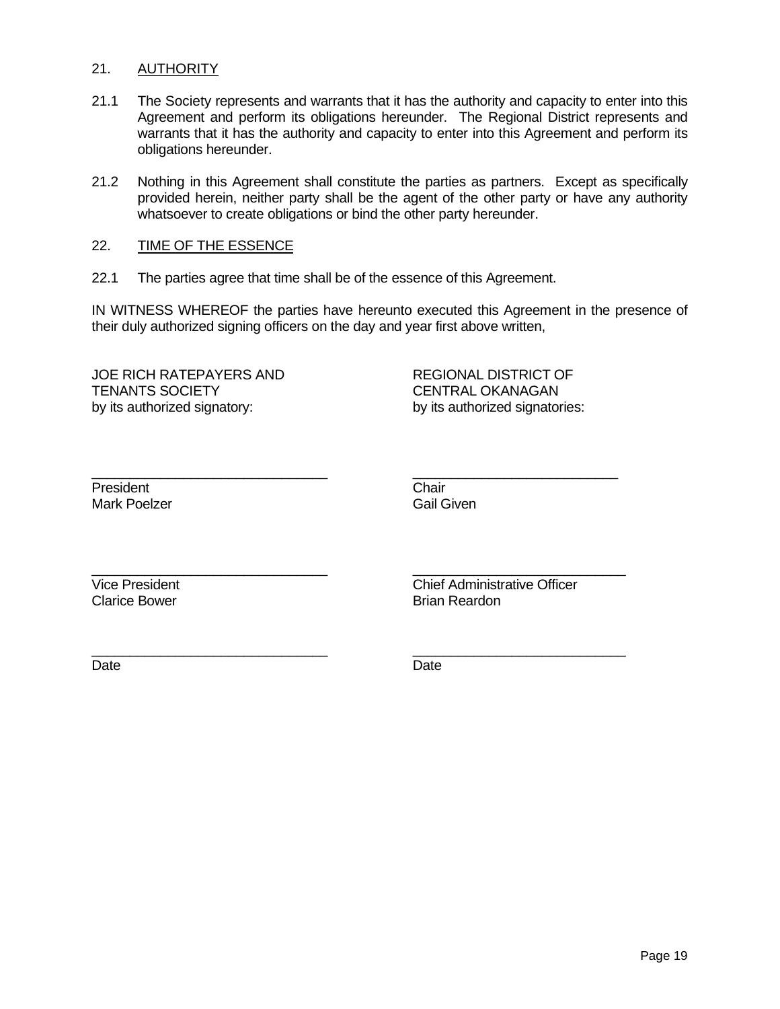#### 21. AUTHORITY

- 21.1 The Society represents and warrants that it has the authority and capacity to enter into this Agreement and perform its obligations hereunder. The Regional District represents and warrants that it has the authority and capacity to enter into this Agreement and perform its obligations hereunder.
- 21.2 Nothing in this Agreement shall constitute the parties as partners. Except as specifically provided herein, neither party shall be the agent of the other party or have any authority whatsoever to create obligations or bind the other party hereunder.

#### 22. TIME OF THE ESSENCE

22.1 The parties agree that time shall be of the essence of this Agreement.

IN WITNESS WHEREOF the parties have hereunto executed this Agreement in the presence of their duly authorized signing officers on the day and year first above written,

\_\_\_\_\_\_\_\_\_\_\_\_\_\_\_\_\_\_\_\_\_\_\_\_\_\_\_\_\_\_\_ \_\_\_\_\_\_\_\_\_\_\_\_\_\_\_\_\_\_\_\_\_\_\_\_\_\_\_

\_\_\_\_\_\_\_\_\_\_\_\_\_\_\_\_\_\_\_\_\_\_\_\_\_\_\_\_\_\_\_ \_\_\_\_\_\_\_\_\_\_\_\_\_\_\_\_\_\_\_\_\_\_\_\_\_\_\_\_

\_\_\_\_\_\_\_\_\_\_\_\_\_\_\_\_\_\_\_\_\_\_\_\_\_\_\_\_\_\_\_ \_\_\_\_\_\_\_\_\_\_\_\_\_\_\_\_\_\_\_\_\_\_\_\_\_\_\_\_

JOE RICH RATEPAYERS AND REGIONAL DISTRICT OF TENANTS SOCIETY CENTRAL OKANAGAN by its authorized signatory: by its authorized signatories:

President Chair Mark Poelzer **Gail Given** 

Clarice Bower **Brian Reardon** Brian Reardon

Vice President Chief Administrative Officer

Date **Date Date Date Date Date**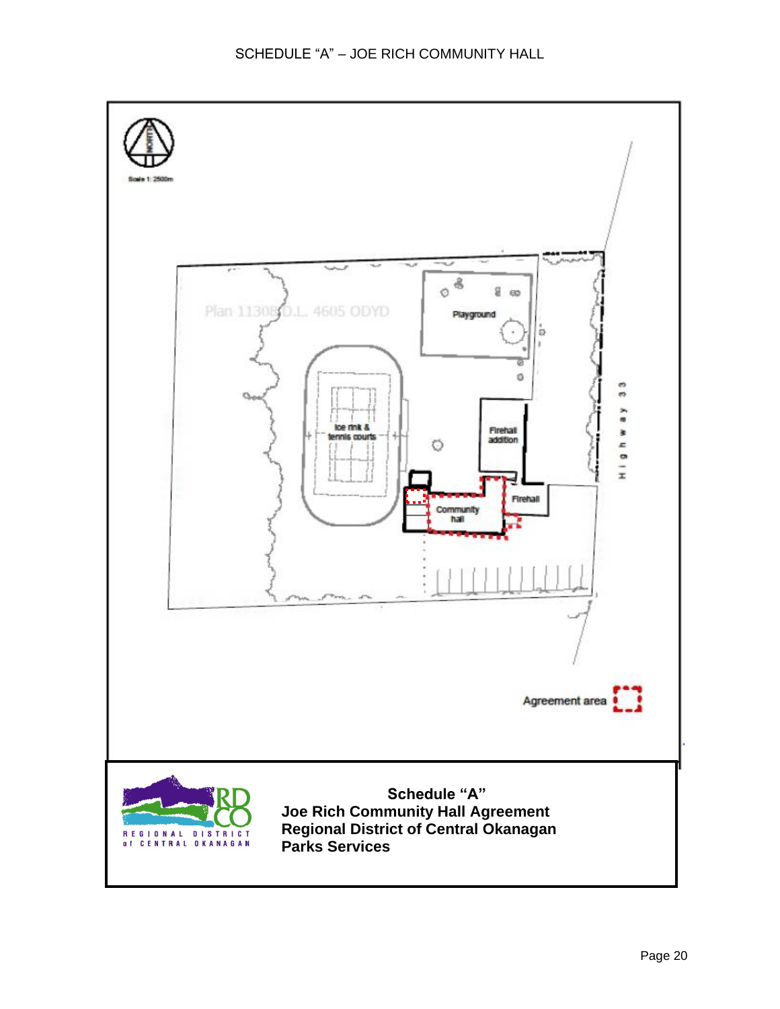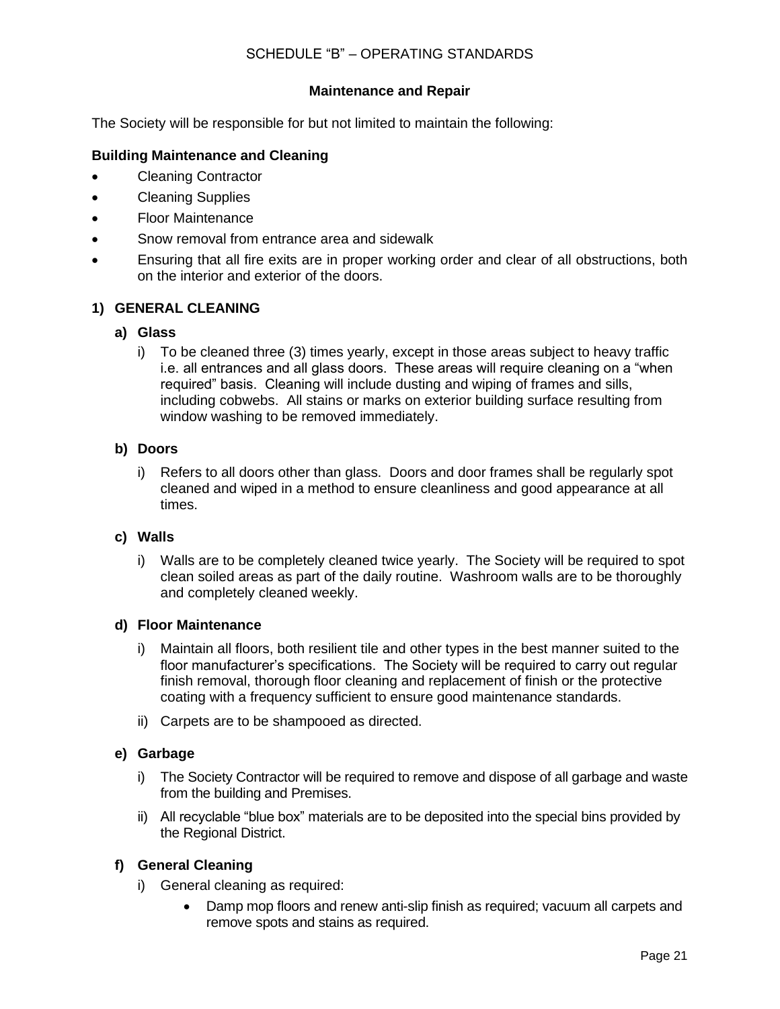# SCHEDULE "B" – OPERATING STANDARDS

## **Maintenance and Repair**

The Society will be responsible for but not limited to maintain the following:

## **Building Maintenance and Cleaning**

- Cleaning Contractor
- Cleaning Supplies
- Floor Maintenance
- Snow removal from entrance area and sidewalk
- Ensuring that all fire exits are in proper working order and clear of all obstructions, both on the interior and exterior of the doors.

## **1) GENERAL CLEANING**

#### **a) Glass**

i) To be cleaned three (3) times yearly, except in those areas subject to heavy traffic i.e. all entrances and all glass doors. These areas will require cleaning on a "when required" basis. Cleaning will include dusting and wiping of frames and sills, including cobwebs. All stains or marks on exterior building surface resulting from window washing to be removed immediately.

#### **b) Doors**

i) Refers to all doors other than glass. Doors and door frames shall be regularly spot cleaned and wiped in a method to ensure cleanliness and good appearance at all times.

#### **c) Walls**

i) Walls are to be completely cleaned twice yearly. The Society will be required to spot clean soiled areas as part of the daily routine. Washroom walls are to be thoroughly and completely cleaned weekly.

#### **d) Floor Maintenance**

- i) Maintain all floors, both resilient tile and other types in the best manner suited to the floor manufacturer's specifications. The Society will be required to carry out regular finish removal, thorough floor cleaning and replacement of finish or the protective coating with a frequency sufficient to ensure good maintenance standards.
- ii) Carpets are to be shampooed as directed.

#### **e) Garbage**

- i) The Society Contractor will be required to remove and dispose of all garbage and waste from the building and Premises.
- ii) All recyclable "blue box" materials are to be deposited into the special bins provided by the Regional District.

## **f) General Cleaning**

- i) General cleaning as required:
	- Damp mop floors and renew anti-slip finish as required; vacuum all carpets and remove spots and stains as required.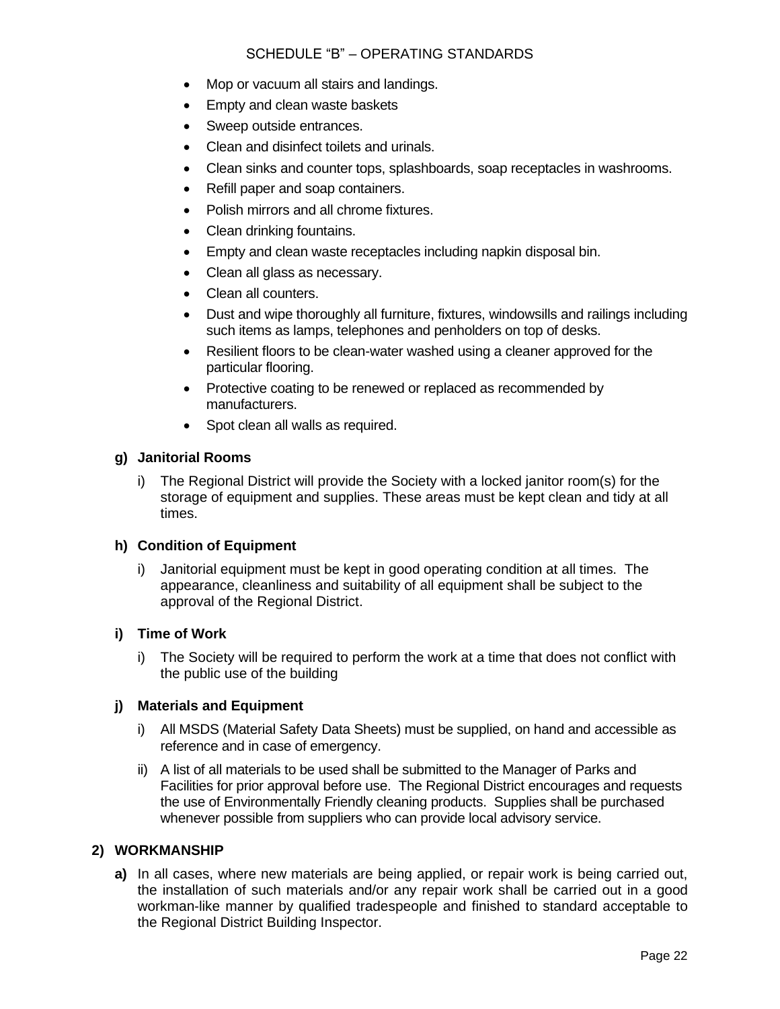# SCHEDULE "B" – OPERATING STANDARDS

- Mop or vacuum all stairs and landings.
- Empty and clean waste baskets
- Sweep outside entrances.
- Clean and disinfect toilets and urinals.
- Clean sinks and counter tops, splashboards, soap receptacles in washrooms.
- Refill paper and soap containers.
- Polish mirrors and all chrome fixtures.
- Clean drinking fountains.
- Empty and clean waste receptacles including napkin disposal bin.
- Clean all glass as necessary.
- Clean all counters.
- Dust and wipe thoroughly all furniture, fixtures, windowsills and railings including such items as lamps, telephones and penholders on top of desks.
- Resilient floors to be clean-water washed using a cleaner approved for the particular flooring.
- Protective coating to be renewed or replaced as recommended by manufacturers.
- Spot clean all walls as required.

## **g) Janitorial Rooms**

i) The Regional District will provide the Society with a locked janitor room(s) for the storage of equipment and supplies. These areas must be kept clean and tidy at all times.

#### **h) Condition of Equipment**

i) Janitorial equipment must be kept in good operating condition at all times. The appearance, cleanliness and suitability of all equipment shall be subject to the approval of the Regional District.

#### **i) Time of Work**

i) The Society will be required to perform the work at a time that does not conflict with the public use of the building

#### **j) Materials and Equipment**

- i) All MSDS (Material Safety Data Sheets) must be supplied, on hand and accessible as reference and in case of emergency.
- ii) A list of all materials to be used shall be submitted to the Manager of Parks and Facilities for prior approval before use. The Regional District encourages and requests the use of Environmentally Friendly cleaning products. Supplies shall be purchased whenever possible from suppliers who can provide local advisory service.

### **2) WORKMANSHIP**

**a)** In all cases, where new materials are being applied, or repair work is being carried out, the installation of such materials and/or any repair work shall be carried out in a good workman-like manner by qualified tradespeople and finished to standard acceptable to the Regional District Building Inspector.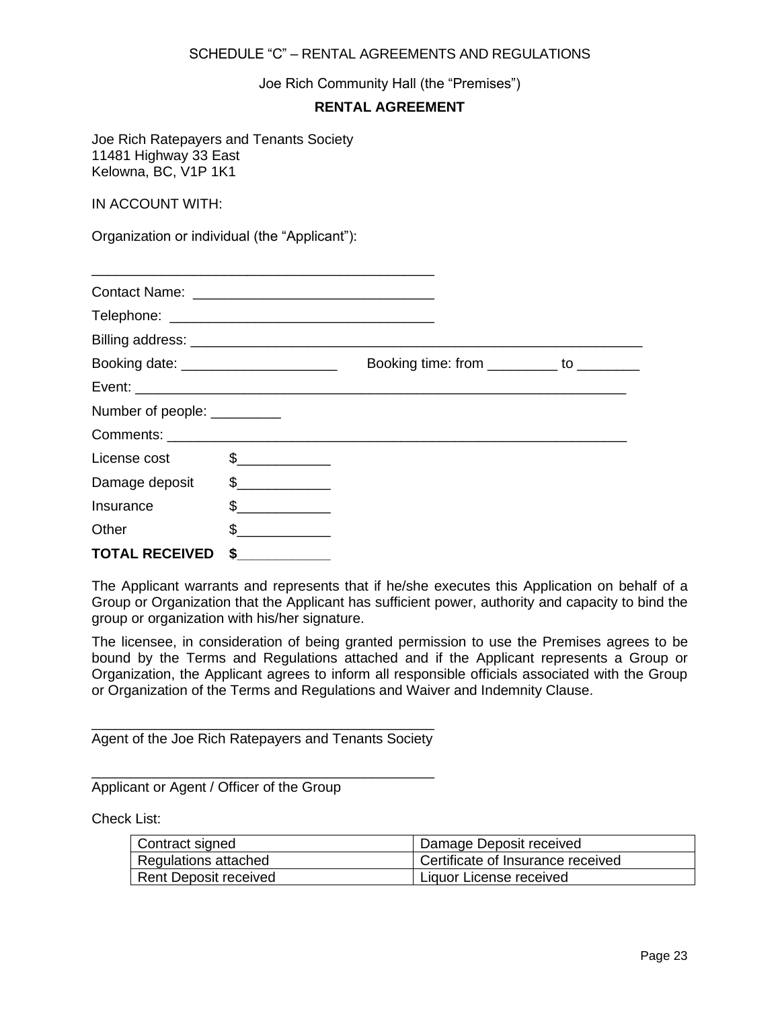#### SCHEDULE "C" – RENTAL AGREEMENTS AND REGULATIONS

Joe Rich Community Hall (the "Premises")

## **RENTAL AGREEMENT**

Joe Rich Ratepayers and Tenants Society 11481 Highway 33 East Kelowna, BC, V1P 1K1

IN ACCOUNT WITH:

Organization or individual (the "Applicant"):

| Booking date: ________________________ |               | Booking time: from __________ to ________ |  |
|----------------------------------------|---------------|-------------------------------------------|--|
|                                        |               |                                           |  |
| Number of people: __________           |               |                                           |  |
|                                        |               |                                           |  |
| License cost                           | $\frac{1}{2}$ |                                           |  |
| Damage deposit \$                      |               |                                           |  |
| Insurance                              | $\frac{1}{2}$ |                                           |  |
| Other                                  | $\frac{1}{2}$ |                                           |  |
| <b>TOTAL RECEIVED</b>                  | \$            |                                           |  |

The Applicant warrants and represents that if he/she executes this Application on behalf of a Group or Organization that the Applicant has sufficient power, authority and capacity to bind the group or organization with his/her signature.

The licensee, in consideration of being granted permission to use the Premises agrees to be bound by the Terms and Regulations attached and if the Applicant represents a Group or Organization, the Applicant agrees to inform all responsible officials associated with the Group or Organization of the Terms and Regulations and Waiver and Indemnity Clause.

\_\_\_\_\_\_\_\_\_\_\_\_\_\_\_\_\_\_\_\_\_\_\_\_\_\_\_\_\_\_\_\_\_\_\_\_\_\_\_\_\_\_\_\_ Agent of the Joe Rich Ratepayers and Tenants Society

\_\_\_\_\_\_\_\_\_\_\_\_\_\_\_\_\_\_\_\_\_\_\_\_\_\_\_\_\_\_\_\_\_\_\_\_\_\_\_\_\_\_\_\_

Applicant or Agent / Officer of the Group

Check List:

| Contract signed       | Damage Deposit received           |
|-----------------------|-----------------------------------|
| Regulations attached  | Certificate of Insurance received |
| Rent Deposit received | Liquor License received           |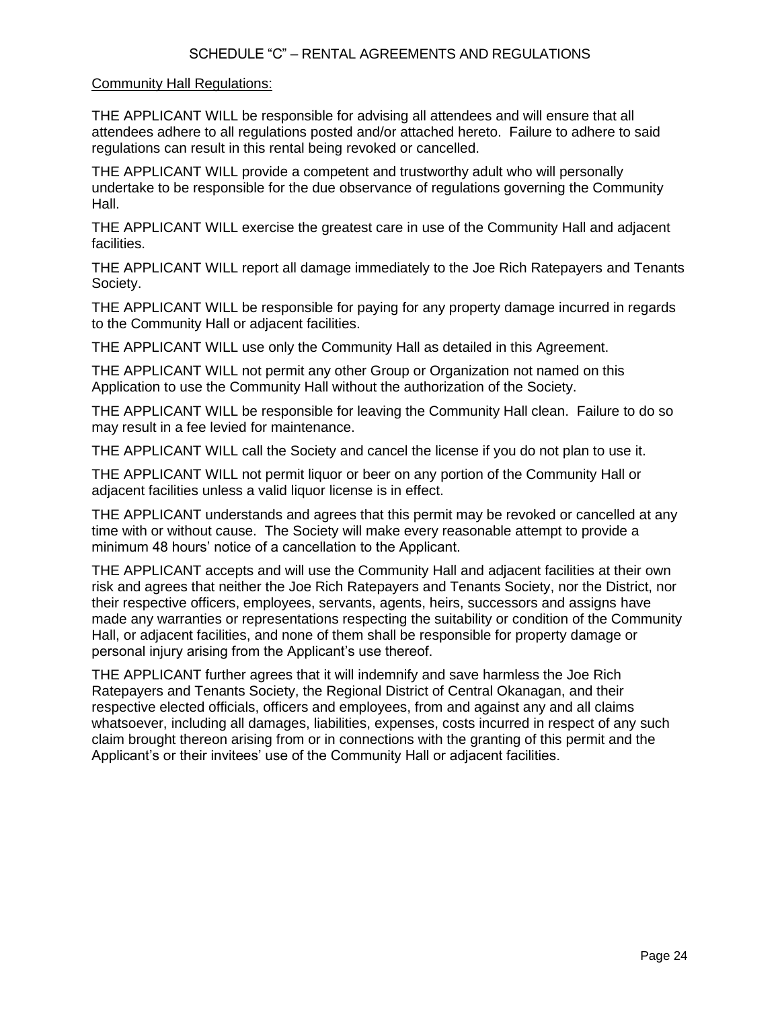#### Community Hall Regulations:

THE APPLICANT WILL be responsible for advising all attendees and will ensure that all attendees adhere to all regulations posted and/or attached hereto. Failure to adhere to said regulations can result in this rental being revoked or cancelled.

THE APPLICANT WILL provide a competent and trustworthy adult who will personally undertake to be responsible for the due observance of regulations governing the Community Hall.

THE APPLICANT WILL exercise the greatest care in use of the Community Hall and adjacent facilities.

THE APPLICANT WILL report all damage immediately to the Joe Rich Ratepayers and Tenants Society.

THE APPLICANT WILL be responsible for paying for any property damage incurred in regards to the Community Hall or adjacent facilities.

THE APPLICANT WILL use only the Community Hall as detailed in this Agreement.

THE APPLICANT WILL not permit any other Group or Organization not named on this Application to use the Community Hall without the authorization of the Society.

THE APPLICANT WILL be responsible for leaving the Community Hall clean. Failure to do so may result in a fee levied for maintenance.

THE APPLICANT WILL call the Society and cancel the license if you do not plan to use it.

THE APPLICANT WILL not permit liquor or beer on any portion of the Community Hall or adjacent facilities unless a valid liquor license is in effect.

THE APPLICANT understands and agrees that this permit may be revoked or cancelled at any time with or without cause. The Society will make every reasonable attempt to provide a minimum 48 hours' notice of a cancellation to the Applicant.

THE APPLICANT accepts and will use the Community Hall and adjacent facilities at their own risk and agrees that neither the Joe Rich Ratepayers and Tenants Society, nor the District, nor their respective officers, employees, servants, agents, heirs, successors and assigns have made any warranties or representations respecting the suitability or condition of the Community Hall, or adjacent facilities, and none of them shall be responsible for property damage or personal injury arising from the Applicant's use thereof.

THE APPLICANT further agrees that it will indemnify and save harmless the Joe Rich Ratepayers and Tenants Society, the Regional District of Central Okanagan, and their respective elected officials, officers and employees, from and against any and all claims whatsoever, including all damages, liabilities, expenses, costs incurred in respect of any such claim brought thereon arising from or in connections with the granting of this permit and the Applicant's or their invitees' use of the Community Hall or adjacent facilities.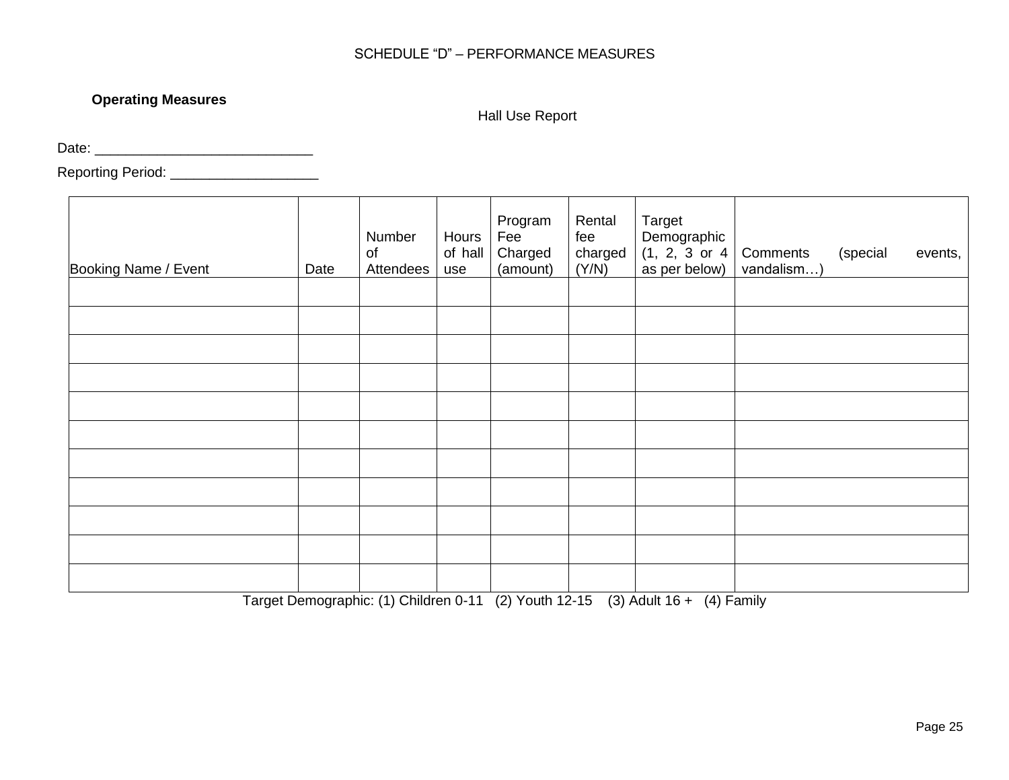# SCHEDULE "D" – PERFORMANCE MEASURES

# **Operating Measures**

Hall Use Report

Date: \_\_\_\_\_\_\_\_\_\_\_\_\_\_\_\_\_\_\_\_\_\_\_\_\_\_\_\_

Reporting Period: \_\_\_\_\_\_\_\_\_\_\_\_\_\_\_\_\_\_\_\_\_\_\_\_

| Booking Name / Event | Date | Number<br>of<br>Attendees | Hours<br>of hall<br>use | Program<br>Fee<br>Charged<br>(amount) | Rental<br>fee<br>charged<br>(Y/N) | Target<br>Demographic<br>(1, 2, 3 or 4<br>as per below) | Comments<br>vandalism) | (special | events, |
|----------------------|------|---------------------------|-------------------------|---------------------------------------|-----------------------------------|---------------------------------------------------------|------------------------|----------|---------|
|                      |      |                           |                         |                                       |                                   |                                                         |                        |          |         |
|                      |      |                           |                         |                                       |                                   |                                                         |                        |          |         |
|                      |      |                           |                         |                                       |                                   |                                                         |                        |          |         |
|                      |      |                           |                         |                                       |                                   |                                                         |                        |          |         |
|                      |      |                           |                         |                                       |                                   |                                                         |                        |          |         |
|                      |      |                           |                         |                                       |                                   |                                                         |                        |          |         |
|                      |      |                           |                         |                                       |                                   |                                                         |                        |          |         |
|                      |      |                           |                         |                                       |                                   |                                                         |                        |          |         |
|                      |      |                           |                         |                                       |                                   |                                                         |                        |          |         |
|                      |      |                           |                         |                                       |                                   |                                                         |                        |          |         |
|                      |      |                           |                         |                                       |                                   |                                                         |                        |          |         |

Target Demographic: (1) Children 0-11 (2) Youth 12-15 (3) Adult 16 + (4) Family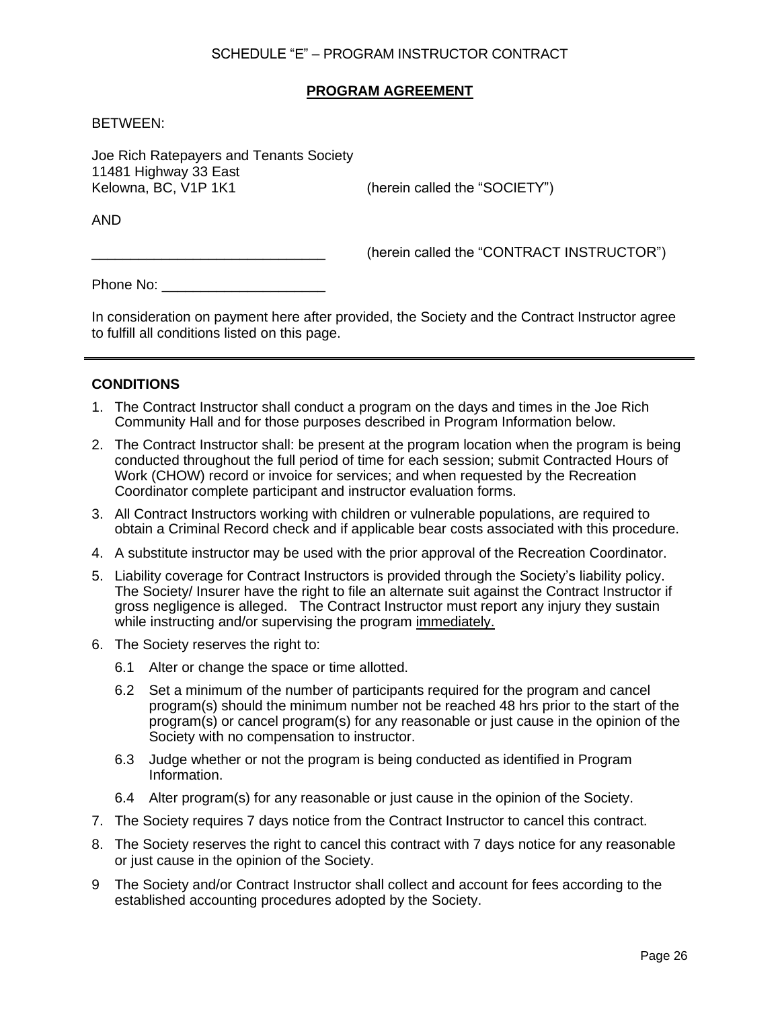# SCHEDULE "E" – PROGRAM INSTRUCTOR CONTRACT

## **PROGRAM AGREEMENT**

BETWEEN:

Joe Rich Ratepayers and Tenants Society 11481 Highway 33 East Kelowna, BC, V1P 1K1 (herein called the "SOCIETY")

AND

(herein called the "CONTRACT INSTRUCTOR")

Phone No: \_\_\_\_\_\_\_\_\_\_\_\_\_\_\_\_\_\_\_\_\_

In consideration on payment here after provided, the Society and the Contract Instructor agree to fulfill all conditions listed on this page.

#### **CONDITIONS**

- 1. The Contract Instructor shall conduct a program on the days and times in the Joe Rich Community Hall and for those purposes described in Program Information below.
- 2. The Contract Instructor shall: be present at the program location when the program is being conducted throughout the full period of time for each session; submit Contracted Hours of Work (CHOW) record or invoice for services; and when requested by the Recreation Coordinator complete participant and instructor evaluation forms.
- 3. All Contract Instructors working with children or vulnerable populations, are required to obtain a Criminal Record check and if applicable bear costs associated with this procedure.
- 4. A substitute instructor may be used with the prior approval of the Recreation Coordinator.
- 5. Liability coverage for Contract Instructors is provided through the Society's liability policy. The Society/ Insurer have the right to file an alternate suit against the Contract Instructor if gross negligence is alleged. The Contract Instructor must report any injury they sustain while instructing and/or supervising the program immediately.
- 6. The Society reserves the right to:
	- 6.1 Alter or change the space or time allotted.
	- 6.2 Set a minimum of the number of participants required for the program and cancel program(s) should the minimum number not be reached 48 hrs prior to the start of the program(s) or cancel program(s) for any reasonable or just cause in the opinion of the Society with no compensation to instructor.
	- 6.3 Judge whether or not the program is being conducted as identified in Program Information.
	- 6.4 Alter program(s) for any reasonable or just cause in the opinion of the Society.
- 7. The Society requires 7 days notice from the Contract Instructor to cancel this contract.
- 8. The Society reserves the right to cancel this contract with 7 days notice for any reasonable or just cause in the opinion of the Society.
- 9 The Society and/or Contract Instructor shall collect and account for fees according to the established accounting procedures adopted by the Society.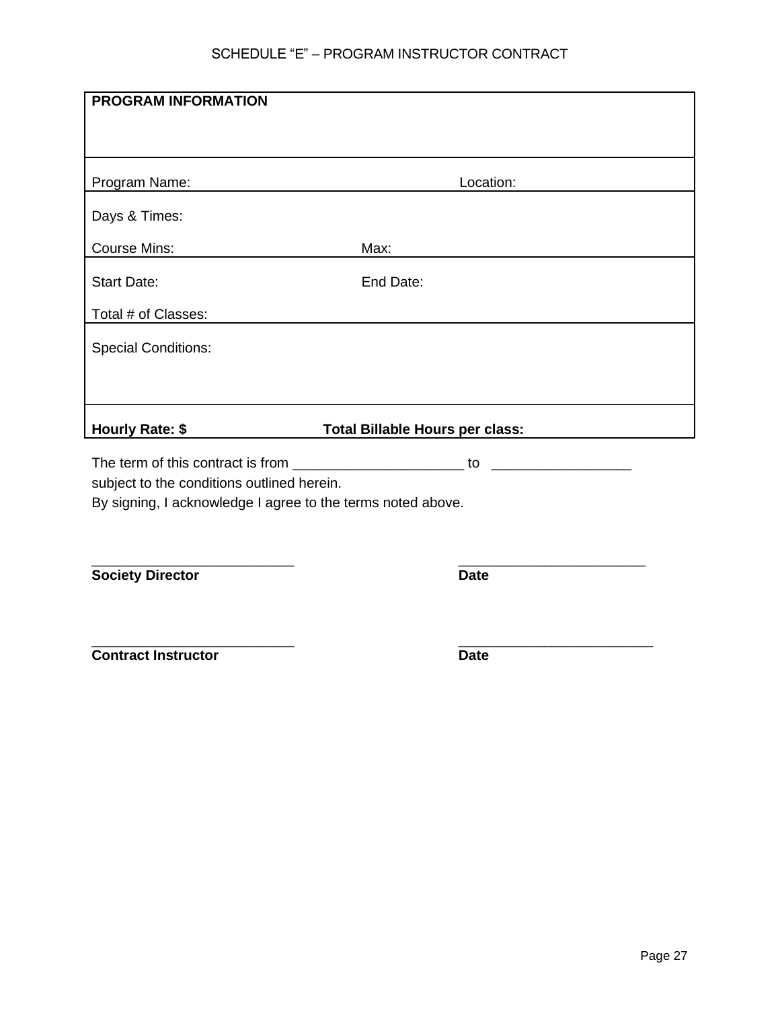# SCHEDULE "E" – PROGRAM INSTRUCTOR CONTRACT

| <b>PROGRAM INFORMATION</b>                                  |                                 |  |  |  |  |
|-------------------------------------------------------------|---------------------------------|--|--|--|--|
|                                                             |                                 |  |  |  |  |
|                                                             |                                 |  |  |  |  |
| Program Name:                                               | Location:                       |  |  |  |  |
| Days & Times:                                               |                                 |  |  |  |  |
| <b>Course Mins:</b>                                         | Max:                            |  |  |  |  |
| <b>Start Date:</b>                                          | End Date:                       |  |  |  |  |
| Total # of Classes:                                         |                                 |  |  |  |  |
| <b>Special Conditions:</b>                                  |                                 |  |  |  |  |
|                                                             |                                 |  |  |  |  |
| Hourly Rate: \$                                             | Total Billable Hours per class: |  |  |  |  |
|                                                             |                                 |  |  |  |  |
| subject to the conditions outlined herein.                  |                                 |  |  |  |  |
| By signing, I acknowledge I agree to the terms noted above. |                                 |  |  |  |  |
|                                                             |                                 |  |  |  |  |
|                                                             |                                 |  |  |  |  |
| <b>Society Director</b>                                     | <b>Date</b>                     |  |  |  |  |
|                                                             |                                 |  |  |  |  |
| <b>Contract Instructor</b>                                  | <b>Date</b>                     |  |  |  |  |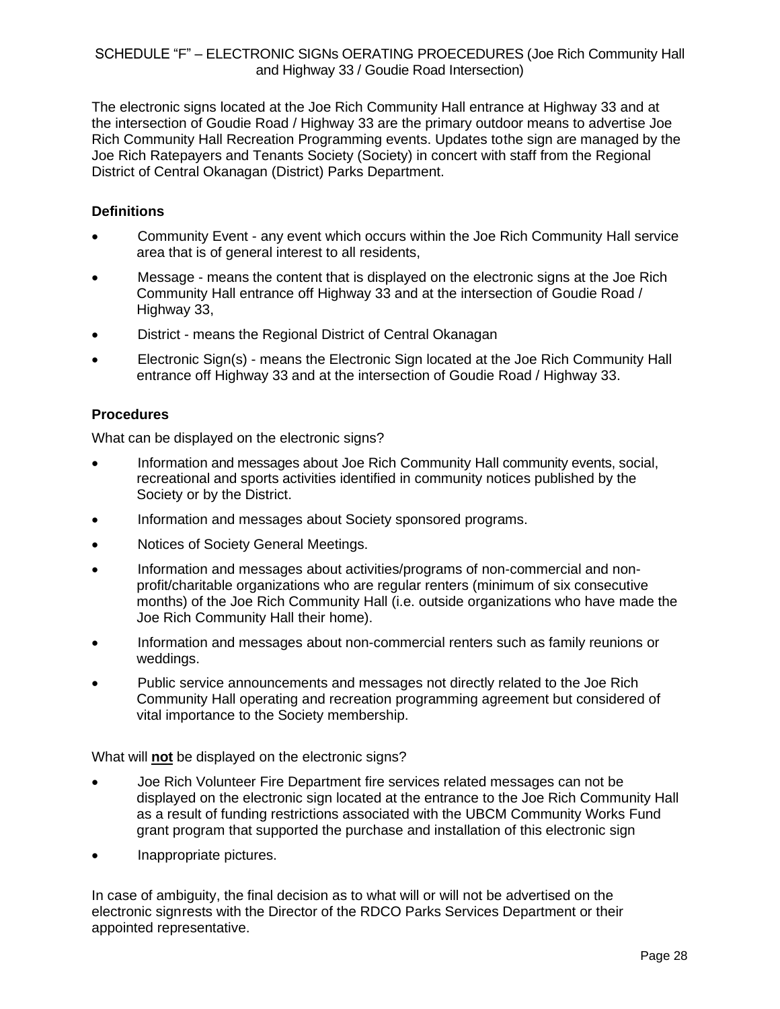# SCHEDULE "F" – ELECTRONIC SIGNs OERATING PROECEDURES (Joe Rich Community Hall and Highway 33 / Goudie Road Intersection)

The electronic signs located at the Joe Rich Community Hall entrance at Highway 33 and at the intersection of Goudie Road / Highway 33 are the primary outdoor means to advertise Joe Rich Community Hall Recreation Programming events. Updates tothe sign are managed by the Joe Rich Ratepayers and Tenants Society (Society) in concert with staff from the Regional District of Central Okanagan (District) Parks Department.

# **Definitions**

- Community Event any event which occurs within the Joe Rich Community Hall service area that is of general interest to all residents,
- Message means the content that is displayed on the electronic signs at the Joe Rich Community Hall entrance off Highway 33 and at the intersection of Goudie Road / Highway 33,
- District means the Regional District of Central Okanagan
- Electronic Sign(s) means the Electronic Sign located at the Joe Rich Community Hall entrance off Highway 33 and at the intersection of Goudie Road / Highway 33.

## **Procedures**

What can be displayed on the electronic signs?

- Information and messages about Joe Rich Community Hall community events, social, recreational and sports activities identified in community notices published by the Society or by the District.
- Information and messages about Society sponsored programs.
- Notices of Society General Meetings.
- Information and messages about activities/programs of non-commercial and nonprofit/charitable organizations who are regular renters (minimum of six consecutive months) of the Joe Rich Community Hall (i.e. outside organizations who have made the Joe Rich Community Hall their home).
- Information and messages about non-commercial renters such as family reunions or weddings.
- Public service announcements and messages not directly related to the Joe Rich Community Hall operating and recreation programming agreement but considered of vital importance to the Society membership.

What will **not** be displayed on the electronic signs?

- Joe Rich Volunteer Fire Department fire services related messages can not be displayed on the electronic sign located at the entrance to the Joe Rich Community Hall as a result of funding restrictions associated with the UBCM Community Works Fund grant program that supported the purchase and installation of this electronic sign
- Inappropriate pictures.

In case of ambiguity, the final decision as to what will or will not be advertised on the electronic signrests with the Director of the RDCO Parks Services Department or their appointed representative.